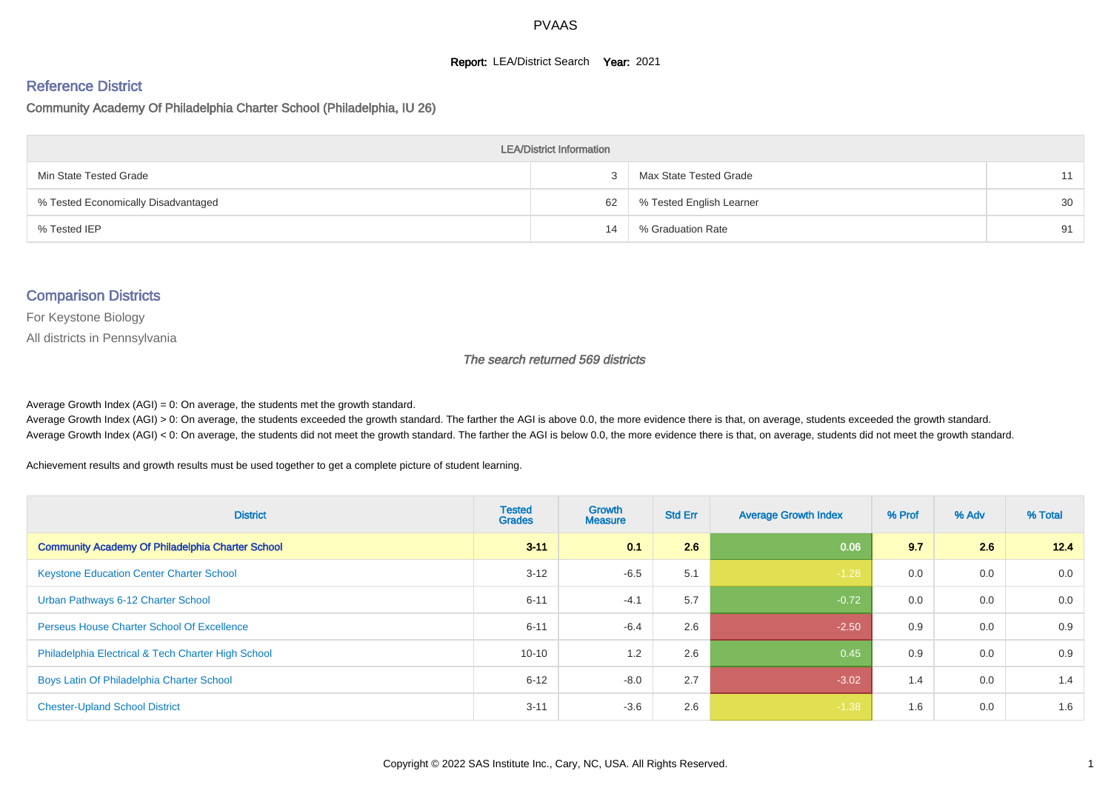#### **Report: LEA/District Search Year: 2021**

#### Reference District

Community Academy Of Philadelphia Charter School (Philadelphia, IU 26)

| <b>LEA/District Information</b>     |    |                          |    |  |  |  |  |  |  |  |
|-------------------------------------|----|--------------------------|----|--|--|--|--|--|--|--|
| Min State Tested Grade              |    | Max State Tested Grade   | 11 |  |  |  |  |  |  |  |
| % Tested Economically Disadvantaged | 62 | % Tested English Learner | 30 |  |  |  |  |  |  |  |
| % Tested IEP                        | 14 | % Graduation Rate        | 91 |  |  |  |  |  |  |  |

#### Comparison Districts

For Keystone Biology

All districts in Pennsylvania

The search returned 569 districts

Average Growth Index  $(AGI) = 0$ : On average, the students met the growth standard.

Average Growth Index (AGI) > 0: On average, the students exceeded the growth standard. The farther the AGI is above 0.0, the more evidence there is that, on average, students exceeded the growth standard. Average Growth Index (AGI) < 0: On average, the students did not meet the growth standard. The farther the AGI is below 0.0, the more evidence there is that, on average, students did not meet the growth standard.

Achievement results and growth results must be used together to get a complete picture of student learning.

| <b>District</b>                                         | <b>Tested</b><br><b>Grades</b> | <b>Growth</b><br><b>Measure</b> | <b>Std Err</b> | <b>Average Growth Index</b> | % Prof | % Adv | % Total |
|---------------------------------------------------------|--------------------------------|---------------------------------|----------------|-----------------------------|--------|-------|---------|
| <b>Community Academy Of Philadelphia Charter School</b> | $3 - 11$                       | 0.1                             | 2.6            | 0.06                        | 9.7    | 2.6   | 12.4    |
| <b>Keystone Education Center Charter School</b>         | $3 - 12$                       | $-6.5$                          | 5.1            | $-1.28$                     | 0.0    | 0.0   | 0.0     |
| Urban Pathways 6-12 Charter School                      | $6 - 11$                       | $-4.1$                          | 5.7            | $-0.72$                     | 0.0    | 0.0   | 0.0     |
| <b>Perseus House Charter School Of Excellence</b>       | $6 - 11$                       | $-6.4$                          | 2.6            | $-2.50$                     | 0.9    | 0.0   | 0.9     |
| Philadelphia Electrical & Tech Charter High School      | $10 - 10$                      | 1.2                             | 2.6            | 0.45                        | 0.9    | 0.0   | 0.9     |
| Boys Latin Of Philadelphia Charter School               | $6 - 12$                       | $-8.0$                          | 2.7            | $-3.02$                     | 1.4    | 0.0   | 1.4     |
| <b>Chester-Upland School District</b>                   | $3 - 11$                       | $-3.6$                          | 2.6            | $-1.38$                     | 1.6    | 0.0   | 1.6     |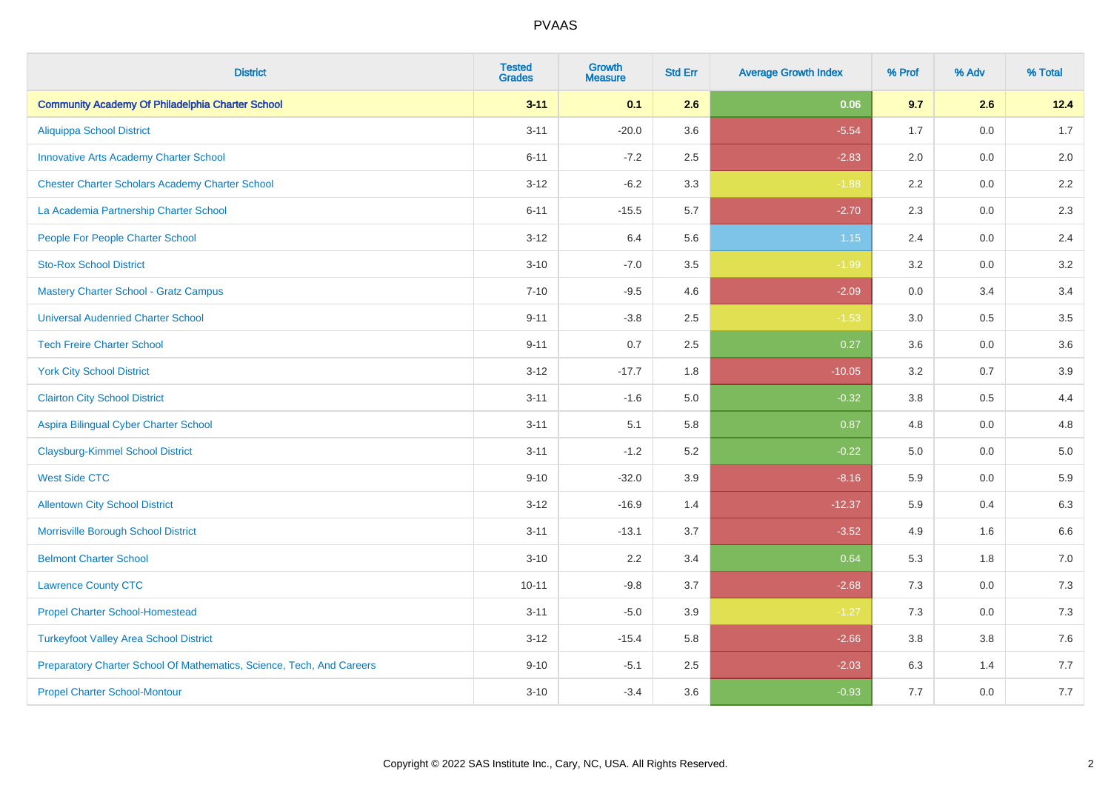| <b>District</b>                                                       | <b>Tested</b><br><b>Grades</b> | <b>Growth</b><br><b>Measure</b> | <b>Std Err</b> | <b>Average Growth Index</b> | % Prof | % Adv   | % Total |
|-----------------------------------------------------------------------|--------------------------------|---------------------------------|----------------|-----------------------------|--------|---------|---------|
| <b>Community Academy Of Philadelphia Charter School</b>               | $3 - 11$                       | 0.1                             | 2.6            | 0.06                        | 9.7    | 2.6     | 12.4    |
| <b>Aliquippa School District</b>                                      | $3 - 11$                       | $-20.0$                         | 3.6            | $-5.54$                     | 1.7    | 0.0     | 1.7     |
| <b>Innovative Arts Academy Charter School</b>                         | $6 - 11$                       | $-7.2$                          | 2.5            | $-2.83$                     | 2.0    | 0.0     | 2.0     |
| <b>Chester Charter Scholars Academy Charter School</b>                | $3 - 12$                       | $-6.2$                          | 3.3            | $-1.88$                     | 2.2    | $0.0\,$ | $2.2\,$ |
| La Academia Partnership Charter School                                | $6 - 11$                       | $-15.5$                         | 5.7            | $-2.70$                     | 2.3    | 0.0     | 2.3     |
| People For People Charter School                                      | $3 - 12$                       | 6.4                             | 5.6            | $1.15$                      | 2.4    | 0.0     | 2.4     |
| <b>Sto-Rox School District</b>                                        | $3 - 10$                       | $-7.0$                          | 3.5            | $-1.99$                     | 3.2    | $0.0\,$ | 3.2     |
| <b>Mastery Charter School - Gratz Campus</b>                          | $7 - 10$                       | $-9.5$                          | 4.6            | $-2.09$                     | 0.0    | 3.4     | 3.4     |
| <b>Universal Audenried Charter School</b>                             | $9 - 11$                       | $-3.8$                          | 2.5            | $-1.53$                     | 3.0    | 0.5     | 3.5     |
| <b>Tech Freire Charter School</b>                                     | $9 - 11$                       | 0.7                             | $2.5\,$        | 0.27                        | 3.6    | 0.0     | 3.6     |
| <b>York City School District</b>                                      | $3 - 12$                       | $-17.7$                         | 1.8            | $-10.05$                    | 3.2    | 0.7     | 3.9     |
| <b>Clairton City School District</b>                                  | $3 - 11$                       | $-1.6$                          | 5.0            | $-0.32$                     | 3.8    | 0.5     | 4.4     |
| Aspira Bilingual Cyber Charter School                                 | $3 - 11$                       | 5.1                             | 5.8            | 0.87                        | 4.8    | 0.0     | 4.8     |
| <b>Claysburg-Kimmel School District</b>                               | $3 - 11$                       | $-1.2$                          | 5.2            | $-0.22$                     | 5.0    | 0.0     | $5.0$   |
| <b>West Side CTC</b>                                                  | $9 - 10$                       | $-32.0$                         | 3.9            | $-8.16$                     | 5.9    | 0.0     | 5.9     |
| <b>Allentown City School District</b>                                 | $3 - 12$                       | $-16.9$                         | 1.4            | $-12.37$                    | 5.9    | 0.4     | 6.3     |
| Morrisville Borough School District                                   | $3 - 11$                       | $-13.1$                         | 3.7            | $-3.52$                     | 4.9    | 1.6     | 6.6     |
| <b>Belmont Charter School</b>                                         | $3 - 10$                       | 2.2                             | 3.4            | 0.64                        | 5.3    | 1.8     | 7.0     |
| <b>Lawrence County CTC</b>                                            | $10 - 11$                      | $-9.8$                          | 3.7            | $-2.68$                     | 7.3    | 0.0     | 7.3     |
| <b>Propel Charter School-Homestead</b>                                | $3 - 11$                       | $-5.0$                          | 3.9            | $-1.27$                     | 7.3    | 0.0     | $7.3$   |
| <b>Turkeyfoot Valley Area School District</b>                         | $3 - 12$                       | $-15.4$                         | 5.8            | $-2.66$                     | 3.8    | 3.8     | $7.6$   |
| Preparatory Charter School Of Mathematics, Science, Tech, And Careers | $9 - 10$                       | $-5.1$                          | 2.5            | $-2.03$                     | 6.3    | 1.4     | 7.7     |
| <b>Propel Charter School-Montour</b>                                  | $3 - 10$                       | $-3.4$                          | 3.6            | $-0.93$                     | 7.7    | 0.0     | 7.7     |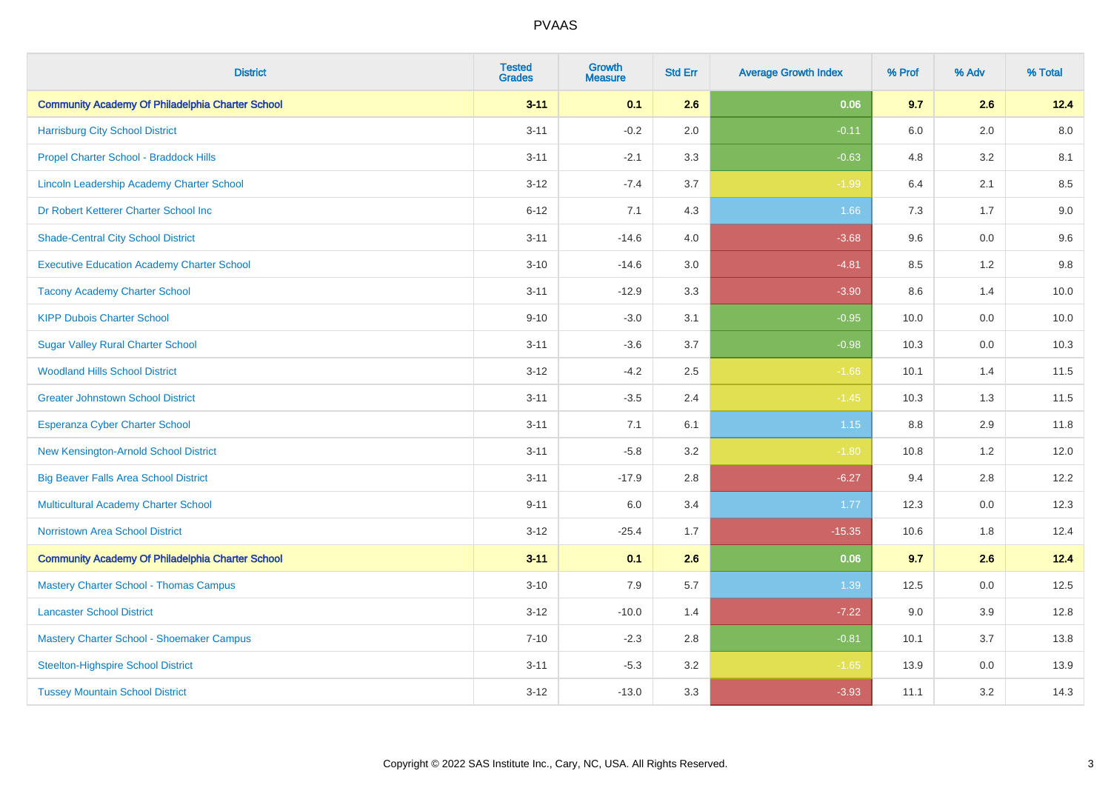| <b>District</b>                                         | <b>Tested</b><br><b>Grades</b> | <b>Growth</b><br><b>Measure</b> | <b>Std Err</b> | <b>Average Growth Index</b> | % Prof  | % Adv | % Total |
|---------------------------------------------------------|--------------------------------|---------------------------------|----------------|-----------------------------|---------|-------|---------|
| <b>Community Academy Of Philadelphia Charter School</b> | $3 - 11$                       | 0.1                             | 2.6            | 0.06                        | 9.7     | 2.6   | 12.4    |
| <b>Harrisburg City School District</b>                  | $3 - 11$                       | $-0.2$                          | 2.0            | $-0.11$                     | $6.0\,$ | 2.0   | 8.0     |
| Propel Charter School - Braddock Hills                  | $3 - 11$                       | $-2.1$                          | 3.3            | $-0.63$                     | 4.8     | 3.2   | 8.1     |
| Lincoln Leadership Academy Charter School               | $3 - 12$                       | $-7.4$                          | 3.7            | $-1.99$                     | 6.4     | 2.1   | 8.5     |
| Dr Robert Ketterer Charter School Inc                   | $6 - 12$                       | 7.1                             | 4.3            | 1.66                        | 7.3     | 1.7   | $9.0\,$ |
| <b>Shade-Central City School District</b>               | $3 - 11$                       | $-14.6$                         | 4.0            | $-3.68$                     | 9.6     | 0.0   | 9.6     |
| <b>Executive Education Academy Charter School</b>       | $3 - 10$                       | $-14.6$                         | 3.0            | $-4.81$                     | 8.5     | 1.2   | 9.8     |
| <b>Tacony Academy Charter School</b>                    | $3 - 11$                       | $-12.9$                         | 3.3            | $-3.90$                     | 8.6     | 1.4   | 10.0    |
| <b>KIPP Dubois Charter School</b>                       | $9 - 10$                       | $-3.0$                          | 3.1            | $-0.95$                     | 10.0    | 0.0   | 10.0    |
| <b>Sugar Valley Rural Charter School</b>                | $3 - 11$                       | $-3.6$                          | 3.7            | $-0.98$                     | 10.3    | 0.0   | 10.3    |
| <b>Woodland Hills School District</b>                   | $3 - 12$                       | $-4.2$                          | 2.5            | $-1.66$                     | 10.1    | 1.4   | 11.5    |
| <b>Greater Johnstown School District</b>                | $3 - 11$                       | $-3.5$                          | 2.4            | $-1.45$                     | 10.3    | 1.3   | 11.5    |
| <b>Esperanza Cyber Charter School</b>                   | $3 - 11$                       | 7.1                             | 6.1            | 1.15                        | $8.8\,$ | 2.9   | 11.8    |
| New Kensington-Arnold School District                   | $3 - 11$                       | $-5.8$                          | 3.2            | $-1.80$                     | 10.8    | 1.2   | 12.0    |
| <b>Big Beaver Falls Area School District</b>            | $3 - 11$                       | $-17.9$                         | 2.8            | $-6.27$                     | 9.4     | 2.8   | 12.2    |
| <b>Multicultural Academy Charter School</b>             | $9 - 11$                       | 6.0                             | 3.4            | 1.77                        | 12.3    | 0.0   | 12.3    |
| <b>Norristown Area School District</b>                  | $3 - 12$                       | $-25.4$                         | 1.7            | $-15.35$                    | 10.6    | 1.8   | 12.4    |
| <b>Community Academy Of Philadelphia Charter School</b> | $3 - 11$                       | 0.1                             | 2.6            | 0.06                        | 9.7     | 2.6   | 12.4    |
| <b>Mastery Charter School - Thomas Campus</b>           | $3 - 10$                       | 7.9                             | 5.7            | 1.39                        | 12.5    | 0.0   | 12.5    |
| <b>Lancaster School District</b>                        | $3 - 12$                       | $-10.0$                         | 1.4            | $-7.22$                     | 9.0     | 3.9   | 12.8    |
| Mastery Charter School - Shoemaker Campus               | $7 - 10$                       | $-2.3$                          | 2.8            | $-0.81$                     | 10.1    | 3.7   | 13.8    |
| <b>Steelton-Highspire School District</b>               | $3 - 11$                       | $-5.3$                          | 3.2            | $-1.65$                     | 13.9    | 0.0   | 13.9    |
| <b>Tussey Mountain School District</b>                  | $3 - 12$                       | $-13.0$                         | 3.3            | $-3.93$                     | 11.1    | 3.2   | 14.3    |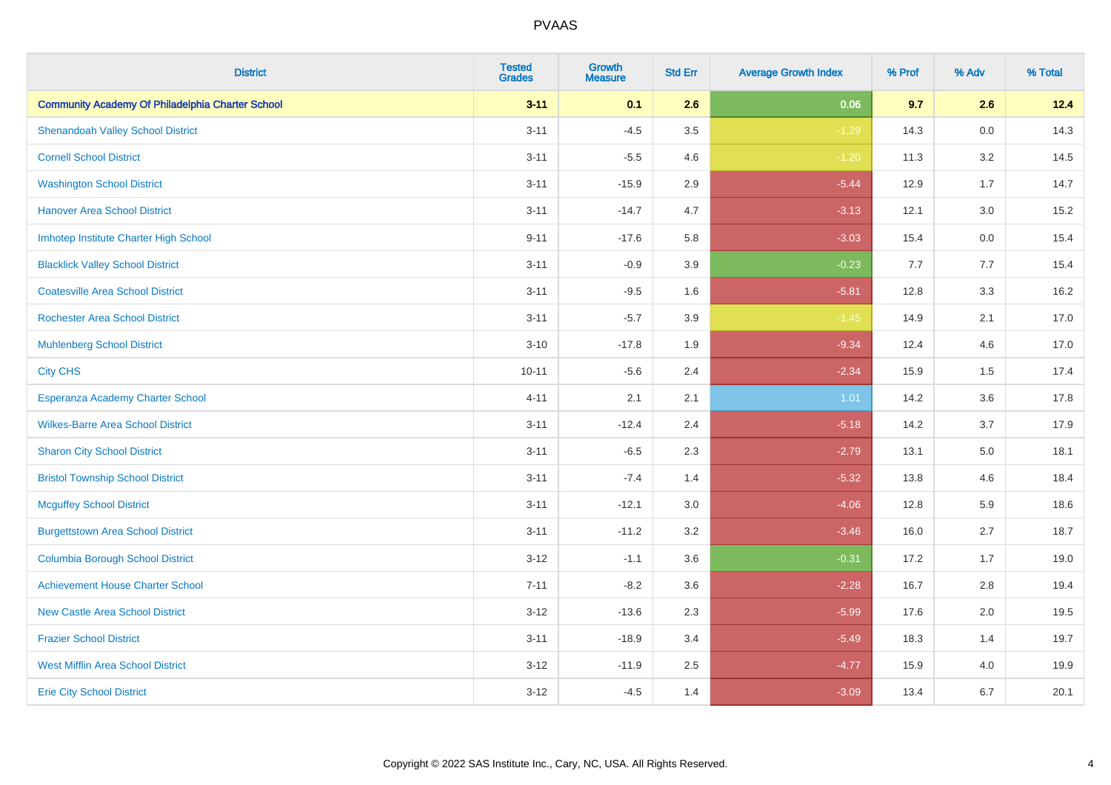| <b>District</b>                                         | <b>Tested</b><br><b>Grades</b> | <b>Growth</b><br><b>Measure</b> | <b>Std Err</b> | <b>Average Growth Index</b> | % Prof | % Adv | % Total |
|---------------------------------------------------------|--------------------------------|---------------------------------|----------------|-----------------------------|--------|-------|---------|
| <b>Community Academy Of Philadelphia Charter School</b> | $3 - 11$                       | 0.1                             | 2.6            | 0.06                        | 9.7    | 2.6   | 12.4    |
| <b>Shenandoah Valley School District</b>                | $3 - 11$                       | $-4.5$                          | 3.5            | $-1.29$                     | 14.3   | 0.0   | 14.3    |
| <b>Cornell School District</b>                          | $3 - 11$                       | $-5.5$                          | 4.6            | $-1.20$                     | 11.3   | 3.2   | 14.5    |
| <b>Washington School District</b>                       | $3 - 11$                       | $-15.9$                         | 2.9            | $-5.44$                     | 12.9   | 1.7   | 14.7    |
| <b>Hanover Area School District</b>                     | $3 - 11$                       | $-14.7$                         | 4.7            | $-3.13$                     | 12.1   | 3.0   | 15.2    |
| Imhotep Institute Charter High School                   | $9 - 11$                       | $-17.6$                         | 5.8            | $-3.03$                     | 15.4   | 0.0   | 15.4    |
| <b>Blacklick Valley School District</b>                 | $3 - 11$                       | $-0.9$                          | 3.9            | $-0.23$                     | 7.7    | 7.7   | 15.4    |
| <b>Coatesville Area School District</b>                 | $3 - 11$                       | $-9.5$                          | 1.6            | $-5.81$                     | 12.8   | 3.3   | 16.2    |
| <b>Rochester Area School District</b>                   | $3 - 11$                       | $-5.7$                          | 3.9            | $-1.45$                     | 14.9   | 2.1   | 17.0    |
| <b>Muhlenberg School District</b>                       | $3 - 10$                       | $-17.8$                         | 1.9            | $-9.34$                     | 12.4   | 4.6   | 17.0    |
| <b>City CHS</b>                                         | $10 - 11$                      | $-5.6$                          | 2.4            | $-2.34$                     | 15.9   | 1.5   | 17.4    |
| Esperanza Academy Charter School                        | $4 - 11$                       | 2.1                             | 2.1            | 1.01                        | 14.2   | 3.6   | 17.8    |
| <b>Wilkes-Barre Area School District</b>                | $3 - 11$                       | $-12.4$                         | 2.4            | $-5.18$                     | 14.2   | 3.7   | 17.9    |
| <b>Sharon City School District</b>                      | $3 - 11$                       | $-6.5$                          | 2.3            | $-2.79$                     | 13.1   | 5.0   | 18.1    |
| <b>Bristol Township School District</b>                 | $3 - 11$                       | $-7.4$                          | 1.4            | $-5.32$                     | 13.8   | 4.6   | 18.4    |
| <b>Mcguffey School District</b>                         | $3 - 11$                       | $-12.1$                         | 3.0            | $-4.06$                     | 12.8   | 5.9   | 18.6    |
| <b>Burgettstown Area School District</b>                | $3 - 11$                       | $-11.2$                         | 3.2            | $-3.46$                     | 16.0   | 2.7   | 18.7    |
| <b>Columbia Borough School District</b>                 | $3 - 12$                       | $-1.1$                          | 3.6            | $-0.31$                     | 17.2   | 1.7   | 19.0    |
| <b>Achievement House Charter School</b>                 | $7 - 11$                       | $-8.2$                          | 3.6            | $-2.28$                     | 16.7   | 2.8   | 19.4    |
| <b>New Castle Area School District</b>                  | $3 - 12$                       | $-13.6$                         | 2.3            | $-5.99$                     | 17.6   | 2.0   | 19.5    |
| <b>Frazier School District</b>                          | $3 - 11$                       | $-18.9$                         | 3.4            | $-5.49$                     | 18.3   | 1.4   | 19.7    |
| <b>West Mifflin Area School District</b>                | $3 - 12$                       | $-11.9$                         | 2.5            | $-4.77$                     | 15.9   | 4.0   | 19.9    |
| <b>Erie City School District</b>                        | $3 - 12$                       | $-4.5$                          | 1.4            | $-3.09$                     | 13.4   | 6.7   | 20.1    |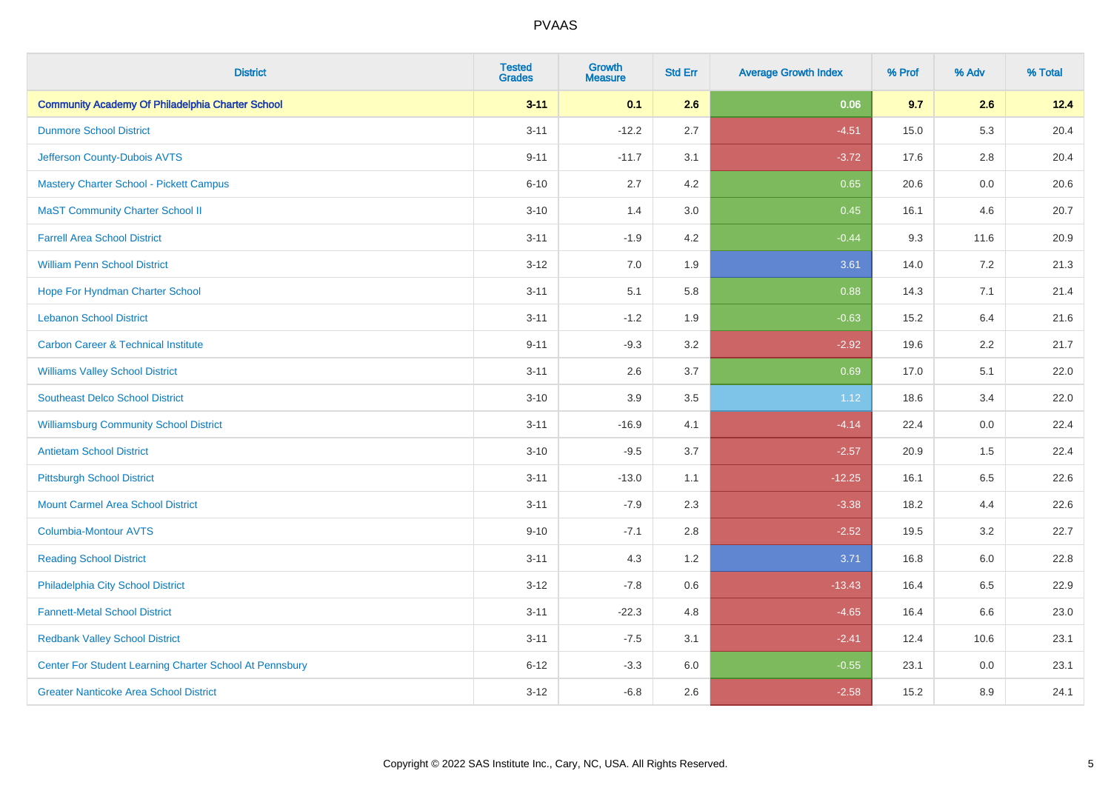| <b>District</b>                                         | <b>Tested</b><br><b>Grades</b> | <b>Growth</b><br><b>Measure</b> | <b>Std Err</b> | <b>Average Growth Index</b> | % Prof | % Adv   | % Total |
|---------------------------------------------------------|--------------------------------|---------------------------------|----------------|-----------------------------|--------|---------|---------|
| <b>Community Academy Of Philadelphia Charter School</b> | $3 - 11$                       | 0.1                             | 2.6            | 0.06                        | 9.7    | 2.6     | 12.4    |
| <b>Dunmore School District</b>                          | $3 - 11$                       | $-12.2$                         | 2.7            | $-4.51$                     | 15.0   | 5.3     | 20.4    |
| Jefferson County-Dubois AVTS                            | $9 - 11$                       | $-11.7$                         | 3.1            | $-3.72$                     | 17.6   | 2.8     | 20.4    |
| <b>Mastery Charter School - Pickett Campus</b>          | $6 - 10$                       | 2.7                             | 4.2            | 0.65                        | 20.6   | $0.0\,$ | 20.6    |
| <b>MaST Community Charter School II</b>                 | $3 - 10$                       | 1.4                             | 3.0            | 0.45                        | 16.1   | 4.6     | 20.7    |
| <b>Farrell Area School District</b>                     | $3 - 11$                       | $-1.9$                          | 4.2            | $-0.44$                     | 9.3    | 11.6    | 20.9    |
| <b>William Penn School District</b>                     | $3 - 12$                       | 7.0                             | 1.9            | 3.61                        | 14.0   | 7.2     | 21.3    |
| Hope For Hyndman Charter School                         | $3 - 11$                       | 5.1                             | 5.8            | 0.88                        | 14.3   | 7.1     | 21.4    |
| <b>Lebanon School District</b>                          | $3 - 11$                       | $-1.2$                          | 1.9            | $-0.63$                     | 15.2   | 6.4     | 21.6    |
| <b>Carbon Career &amp; Technical Institute</b>          | $9 - 11$                       | $-9.3$                          | 3.2            | $-2.92$                     | 19.6   | $2.2\,$ | 21.7    |
| <b>Williams Valley School District</b>                  | $3 - 11$                       | 2.6                             | 3.7            | 0.69                        | 17.0   | 5.1     | 22.0    |
| <b>Southeast Delco School District</b>                  | $3 - 10$                       | 3.9                             | 3.5            | 1.12                        | 18.6   | 3.4     | 22.0    |
| <b>Williamsburg Community School District</b>           | $3 - 11$                       | $-16.9$                         | 4.1            | $-4.14$                     | 22.4   | $0.0\,$ | 22.4    |
| <b>Antietam School District</b>                         | $3 - 10$                       | $-9.5$                          | 3.7            | $-2.57$                     | 20.9   | 1.5     | 22.4    |
| <b>Pittsburgh School District</b>                       | $3 - 11$                       | $-13.0$                         | 1.1            | $-12.25$                    | 16.1   | 6.5     | 22.6    |
| <b>Mount Carmel Area School District</b>                | $3 - 11$                       | $-7.9$                          | 2.3            | $-3.38$                     | 18.2   | 4.4     | 22.6    |
| <b>Columbia-Montour AVTS</b>                            | $9 - 10$                       | $-7.1$                          | 2.8            | $-2.52$                     | 19.5   | 3.2     | 22.7    |
| <b>Reading School District</b>                          | $3 - 11$                       | 4.3                             | 1.2            | 3.71                        | 16.8   | 6.0     | 22.8    |
| Philadelphia City School District                       | $3 - 12$                       | $-7.8$                          | 0.6            | $-13.43$                    | 16.4   | 6.5     | 22.9    |
| <b>Fannett-Metal School District</b>                    | $3 - 11$                       | $-22.3$                         | 4.8            | $-4.65$                     | 16.4   | 6.6     | 23.0    |
| <b>Redbank Valley School District</b>                   | $3 - 11$                       | $-7.5$                          | 3.1            | $-2.41$                     | 12.4   | 10.6    | 23.1    |
| Center For Student Learning Charter School At Pennsbury | $6 - 12$                       | $-3.3$                          | 6.0            | $-0.55$                     | 23.1   | 0.0     | 23.1    |
| <b>Greater Nanticoke Area School District</b>           | $3 - 12$                       | $-6.8$                          | 2.6            | $-2.58$                     | 15.2   | 8.9     | 24.1    |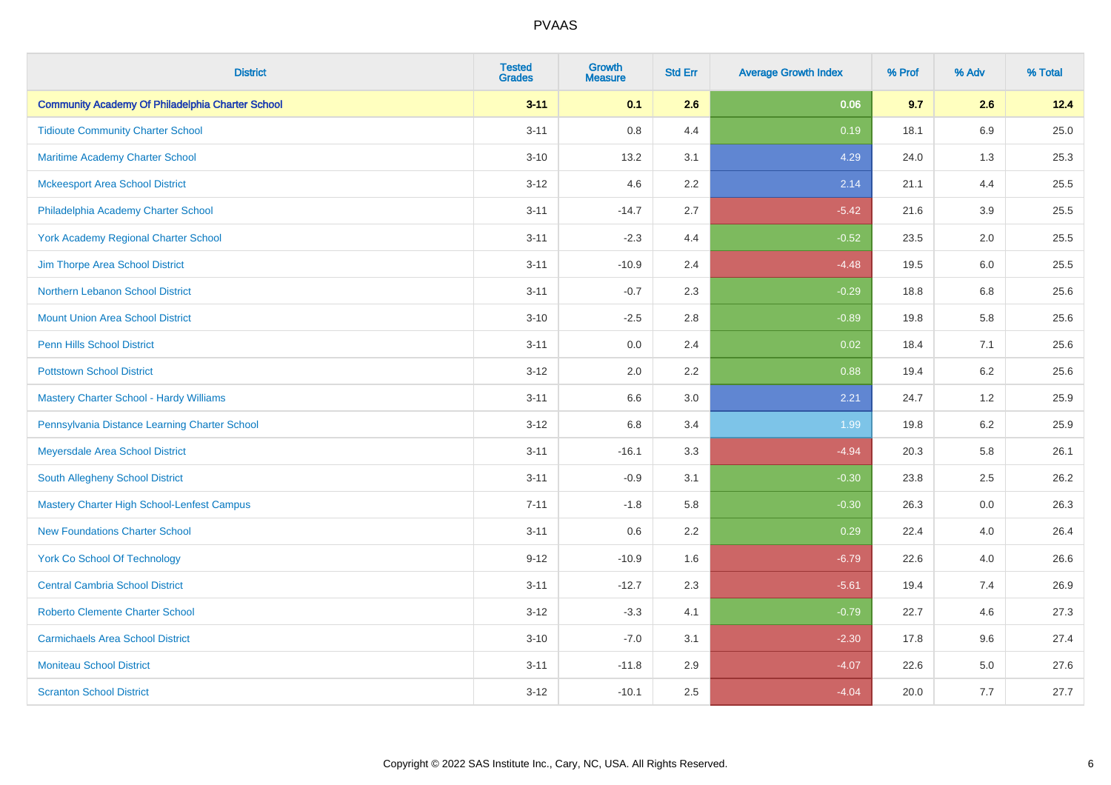| <b>District</b>                                         | <b>Tested</b><br><b>Grades</b> | <b>Growth</b><br><b>Measure</b> | <b>Std Err</b> | <b>Average Growth Index</b> | % Prof | % Adv   | % Total |
|---------------------------------------------------------|--------------------------------|---------------------------------|----------------|-----------------------------|--------|---------|---------|
| <b>Community Academy Of Philadelphia Charter School</b> | $3 - 11$                       | 0.1                             | 2.6            | 0.06                        | 9.7    | 2.6     | 12.4    |
| <b>Tidioute Community Charter School</b>                | $3 - 11$                       | $0.8\,$                         | 4.4            | 0.19                        | 18.1   | $6.9\,$ | 25.0    |
| Maritime Academy Charter School                         | $3 - 10$                       | 13.2                            | 3.1            | 4.29                        | 24.0   | 1.3     | 25.3    |
| <b>Mckeesport Area School District</b>                  | $3 - 12$                       | 4.6                             | 2.2            | 2.14                        | 21.1   | 4.4     | 25.5    |
| Philadelphia Academy Charter School                     | $3 - 11$                       | $-14.7$                         | 2.7            | $-5.42$                     | 21.6   | 3.9     | 25.5    |
| York Academy Regional Charter School                    | $3 - 11$                       | $-2.3$                          | 4.4            | $-0.52$                     | 23.5   | 2.0     | 25.5    |
| Jim Thorpe Area School District                         | $3 - 11$                       | $-10.9$                         | 2.4            | $-4.48$                     | 19.5   | 6.0     | 25.5    |
| Northern Lebanon School District                        | $3 - 11$                       | $-0.7$                          | 2.3            | $-0.29$                     | 18.8   | 6.8     | 25.6    |
| <b>Mount Union Area School District</b>                 | $3 - 10$                       | $-2.5$                          | 2.8            | $-0.89$                     | 19.8   | 5.8     | 25.6    |
| Penn Hills School District                              | $3 - 11$                       | 0.0                             | 2.4            | 0.02                        | 18.4   | 7.1     | 25.6    |
| <b>Pottstown School District</b>                        | $3 - 12$                       | 2.0                             | 2.2            | 0.88                        | 19.4   | 6.2     | 25.6    |
| <b>Mastery Charter School - Hardy Williams</b>          | $3 - 11$                       | 6.6                             | 3.0            | 2.21                        | 24.7   | 1.2     | 25.9    |
| Pennsylvania Distance Learning Charter School           | $3 - 12$                       | $6.8\,$                         | 3.4            | 1.99                        | 19.8   | $6.2\,$ | 25.9    |
| Meyersdale Area School District                         | $3 - 11$                       | $-16.1$                         | 3.3            | $-4.94$                     | 20.3   | 5.8     | 26.1    |
| South Allegheny School District                         | $3 - 11$                       | $-0.9$                          | 3.1            | $-0.30$                     | 23.8   | 2.5     | 26.2    |
| <b>Mastery Charter High School-Lenfest Campus</b>       | $7 - 11$                       | $-1.8$                          | 5.8            | $-0.30$                     | 26.3   | 0.0     | 26.3    |
| <b>New Foundations Charter School</b>                   | $3 - 11$                       | 0.6                             | 2.2            | 0.29                        | 22.4   | 4.0     | 26.4    |
| <b>York Co School Of Technology</b>                     | $9 - 12$                       | $-10.9$                         | 1.6            | $-6.79$                     | 22.6   | 4.0     | 26.6    |
| <b>Central Cambria School District</b>                  | $3 - 11$                       | $-12.7$                         | 2.3            | $-5.61$                     | 19.4   | 7.4     | 26.9    |
| <b>Roberto Clemente Charter School</b>                  | $3 - 12$                       | $-3.3$                          | 4.1            | $-0.79$                     | 22.7   | 4.6     | 27.3    |
| <b>Carmichaels Area School District</b>                 | $3 - 10$                       | $-7.0$                          | 3.1            | $-2.30$                     | 17.8   | 9.6     | 27.4    |
| <b>Moniteau School District</b>                         | $3 - 11$                       | $-11.8$                         | 2.9            | $-4.07$                     | 22.6   | 5.0     | 27.6    |
| <b>Scranton School District</b>                         | $3 - 12$                       | $-10.1$                         | 2.5            | $-4.04$                     | 20.0   | 7.7     | 27.7    |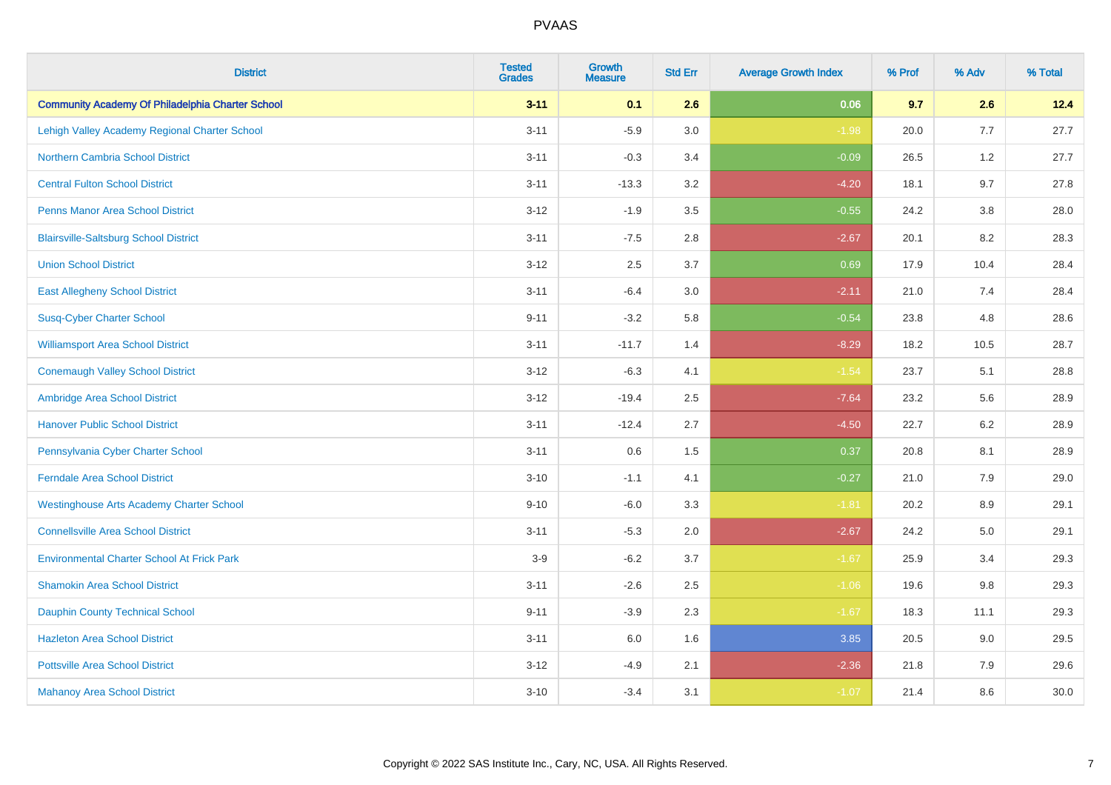| <b>District</b>                                         | <b>Tested</b><br><b>Grades</b> | <b>Growth</b><br><b>Measure</b> | <b>Std Err</b> | <b>Average Growth Index</b> | % Prof | % Adv   | % Total |
|---------------------------------------------------------|--------------------------------|---------------------------------|----------------|-----------------------------|--------|---------|---------|
| <b>Community Academy Of Philadelphia Charter School</b> | $3 - 11$                       | 0.1                             | 2.6            | 0.06                        | 9.7    | 2.6     | 12.4    |
| Lehigh Valley Academy Regional Charter School           | $3 - 11$                       | $-5.9$                          | 3.0            | $-1.98$                     | 20.0   | 7.7     | 27.7    |
| <b>Northern Cambria School District</b>                 | $3 - 11$                       | $-0.3$                          | 3.4            | $-0.09$                     | 26.5   | 1.2     | 27.7    |
| <b>Central Fulton School District</b>                   | $3 - 11$                       | $-13.3$                         | 3.2            | $-4.20$                     | 18.1   | 9.7     | 27.8    |
| <b>Penns Manor Area School District</b>                 | $3 - 12$                       | $-1.9$                          | 3.5            | $-0.55$                     | 24.2   | 3.8     | 28.0    |
| <b>Blairsville-Saltsburg School District</b>            | $3 - 11$                       | $-7.5$                          | 2.8            | $-2.67$                     | 20.1   | 8.2     | 28.3    |
| <b>Union School District</b>                            | $3 - 12$                       | 2.5                             | 3.7            | 0.69                        | 17.9   | 10.4    | 28.4    |
| <b>East Allegheny School District</b>                   | $3 - 11$                       | $-6.4$                          | 3.0            | $-2.11$                     | 21.0   | 7.4     | 28.4    |
| <b>Susq-Cyber Charter School</b>                        | $9 - 11$                       | $-3.2$                          | 5.8            | $-0.54$                     | 23.8   | 4.8     | 28.6    |
| <b>Williamsport Area School District</b>                | $3 - 11$                       | $-11.7$                         | 1.4            | $-8.29$                     | 18.2   | 10.5    | 28.7    |
| <b>Conemaugh Valley School District</b>                 | $3 - 12$                       | $-6.3$                          | 4.1            | $-1.54$                     | 23.7   | 5.1     | 28.8    |
| Ambridge Area School District                           | $3 - 12$                       | $-19.4$                         | 2.5            | $-7.64$                     | 23.2   | 5.6     | 28.9    |
| <b>Hanover Public School District</b>                   | $3 - 11$                       | $-12.4$                         | 2.7            | $-4.50$                     | 22.7   | $6.2\,$ | 28.9    |
| Pennsylvania Cyber Charter School                       | $3 - 11$                       | 0.6                             | 1.5            | 0.37                        | 20.8   | 8.1     | 28.9    |
| <b>Ferndale Area School District</b>                    | $3 - 10$                       | $-1.1$                          | 4.1            | $-0.27$                     | 21.0   | 7.9     | 29.0    |
| <b>Westinghouse Arts Academy Charter School</b>         | $9 - 10$                       | $-6.0$                          | 3.3            | $-1.81$                     | 20.2   | 8.9     | 29.1    |
| <b>Connellsville Area School District</b>               | $3 - 11$                       | $-5.3$                          | 2.0            | $-2.67$                     | 24.2   | $5.0\,$ | 29.1    |
| <b>Environmental Charter School At Frick Park</b>       | $3-9$                          | $-6.2$                          | 3.7            | $-1.67$                     | 25.9   | 3.4     | 29.3    |
| <b>Shamokin Area School District</b>                    | $3 - 11$                       | $-2.6$                          | 2.5            | $-1.06$                     | 19.6   | 9.8     | 29.3    |
| <b>Dauphin County Technical School</b>                  | $9 - 11$                       | $-3.9$                          | 2.3            | $-1.67$                     | 18.3   | 11.1    | 29.3    |
| <b>Hazleton Area School District</b>                    | $3 - 11$                       | 6.0                             | 1.6            | 3.85                        | 20.5   | 9.0     | 29.5    |
| <b>Pottsville Area School District</b>                  | $3 - 12$                       | $-4.9$                          | 2.1            | $-2.36$                     | 21.8   | 7.9     | 29.6    |
| <b>Mahanoy Area School District</b>                     | $3 - 10$                       | $-3.4$                          | 3.1            | $-1.07$                     | 21.4   | 8.6     | 30.0    |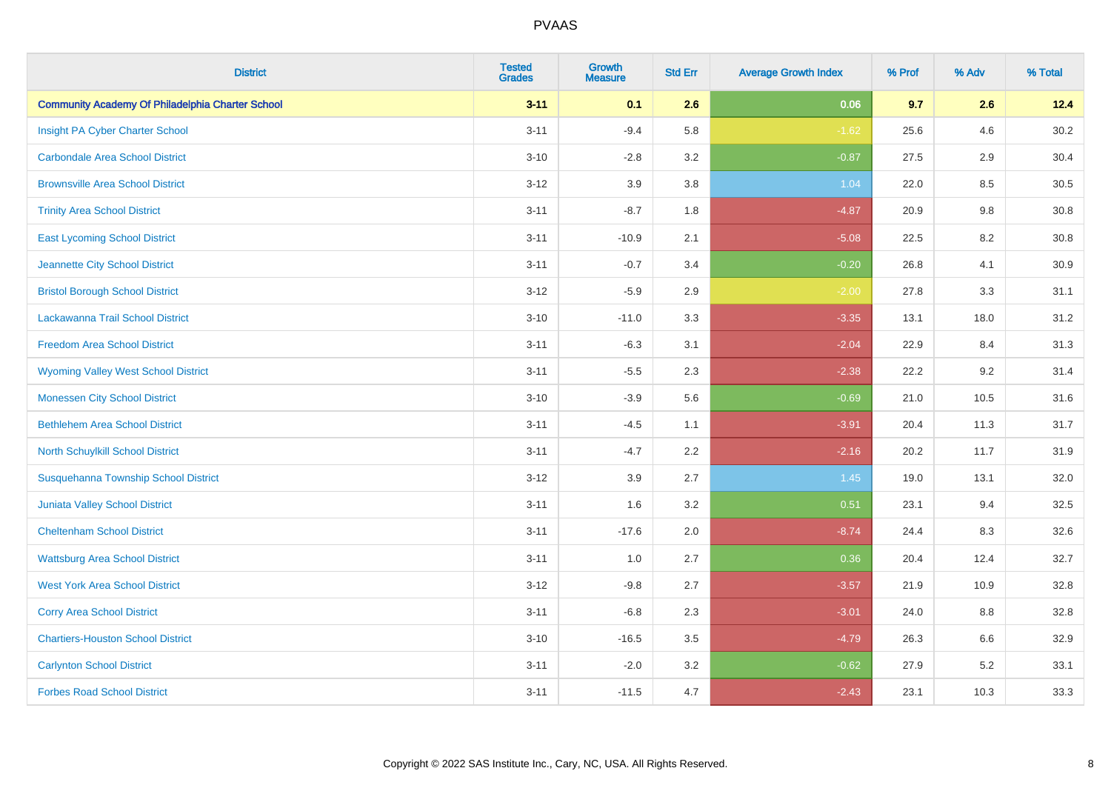| <b>District</b>                                         | <b>Tested</b><br><b>Grades</b> | <b>Growth</b><br><b>Measure</b> | <b>Std Err</b> | <b>Average Growth Index</b> | % Prof | % Adv | % Total |
|---------------------------------------------------------|--------------------------------|---------------------------------|----------------|-----------------------------|--------|-------|---------|
| <b>Community Academy Of Philadelphia Charter School</b> | $3 - 11$                       | 0.1                             | 2.6            | 0.06                        | 9.7    | 2.6   | 12.4    |
| Insight PA Cyber Charter School                         | $3 - 11$                       | $-9.4$                          | 5.8            | $-1.62$                     | 25.6   | 4.6   | 30.2    |
| <b>Carbondale Area School District</b>                  | $3 - 10$                       | $-2.8$                          | 3.2            | $-0.87$                     | 27.5   | 2.9   | 30.4    |
| <b>Brownsville Area School District</b>                 | $3 - 12$                       | 3.9                             | 3.8            | 1.04                        | 22.0   | 8.5   | 30.5    |
| <b>Trinity Area School District</b>                     | $3 - 11$                       | $-8.7$                          | 1.8            | $-4.87$                     | 20.9   | 9.8   | 30.8    |
| <b>East Lycoming School District</b>                    | $3 - 11$                       | $-10.9$                         | 2.1            | $-5.08$                     | 22.5   | 8.2   | 30.8    |
| Jeannette City School District                          | $3 - 11$                       | $-0.7$                          | 3.4            | $-0.20$                     | 26.8   | 4.1   | 30.9    |
| <b>Bristol Borough School District</b>                  | $3 - 12$                       | $-5.9$                          | 2.9            | $-2.00$                     | 27.8   | 3.3   | 31.1    |
| Lackawanna Trail School District                        | $3 - 10$                       | $-11.0$                         | 3.3            | $-3.35$                     | 13.1   | 18.0  | 31.2    |
| <b>Freedom Area School District</b>                     | $3 - 11$                       | $-6.3$                          | 3.1            | $-2.04$                     | 22.9   | 8.4   | 31.3    |
| <b>Wyoming Valley West School District</b>              | $3 - 11$                       | $-5.5$                          | 2.3            | $-2.38$                     | 22.2   | 9.2   | 31.4    |
| <b>Monessen City School District</b>                    | $3 - 10$                       | $-3.9$                          | 5.6            | $-0.69$                     | 21.0   | 10.5  | 31.6    |
| <b>Bethlehem Area School District</b>                   | $3 - 11$                       | $-4.5$                          | 1.1            | $-3.91$                     | 20.4   | 11.3  | 31.7    |
| North Schuylkill School District                        | $3 - 11$                       | $-4.7$                          | 2.2            | $-2.16$                     | 20.2   | 11.7  | 31.9    |
| Susquehanna Township School District                    | $3 - 12$                       | 3.9                             | 2.7            | 1.45                        | 19.0   | 13.1  | 32.0    |
| <b>Juniata Valley School District</b>                   | $3 - 11$                       | 1.6                             | 3.2            | 0.51                        | 23.1   | 9.4   | 32.5    |
| <b>Cheltenham School District</b>                       | $3 - 11$                       | $-17.6$                         | 2.0            | $-8.74$                     | 24.4   | 8.3   | 32.6    |
| <b>Wattsburg Area School District</b>                   | $3 - 11$                       | 1.0                             | 2.7            | 0.36                        | 20.4   | 12.4  | 32.7    |
| <b>West York Area School District</b>                   | $3 - 12$                       | $-9.8$                          | 2.7            | $-3.57$                     | 21.9   | 10.9  | 32.8    |
| <b>Corry Area School District</b>                       | $3 - 11$                       | $-6.8$                          | 2.3            | $-3.01$                     | 24.0   | 8.8   | 32.8    |
| <b>Chartiers-Houston School District</b>                | $3 - 10$                       | $-16.5$                         | 3.5            | $-4.79$                     | 26.3   | 6.6   | 32.9    |
| <b>Carlynton School District</b>                        | $3 - 11$                       | $-2.0$                          | 3.2            | $-0.62$                     | 27.9   | 5.2   | 33.1    |
| <b>Forbes Road School District</b>                      | $3 - 11$                       | $-11.5$                         | 4.7            | $-2.43$                     | 23.1   | 10.3  | 33.3    |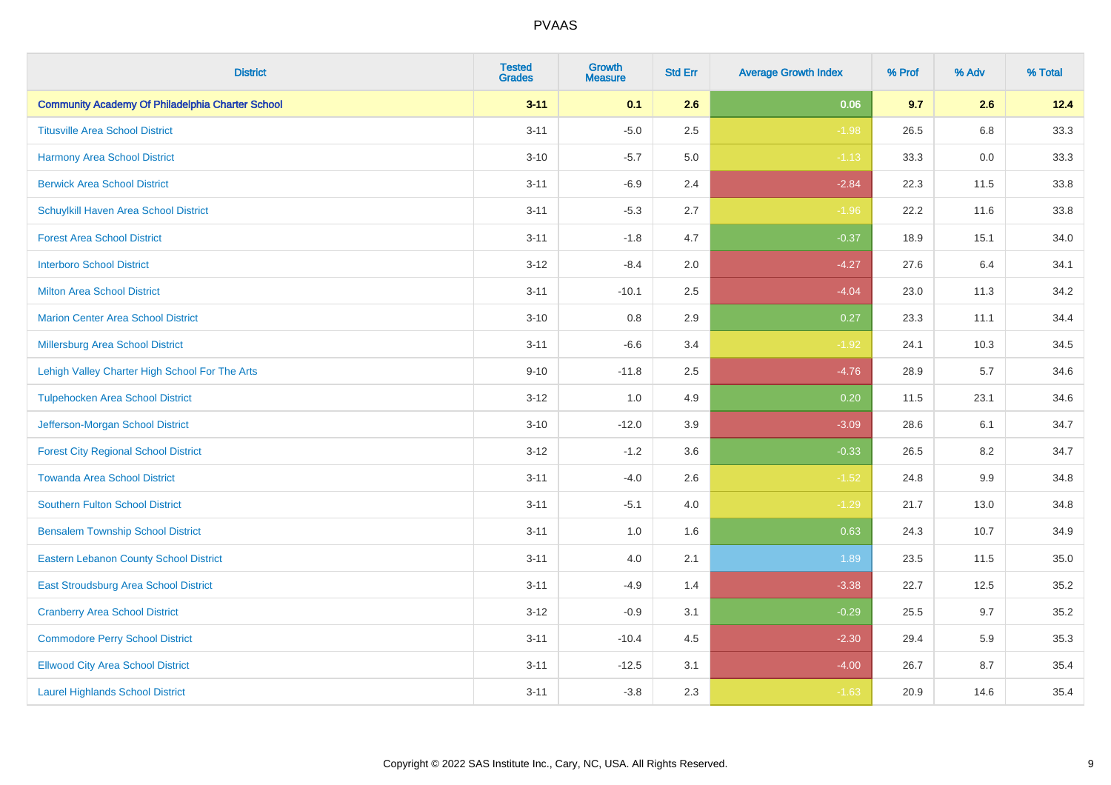| <b>District</b>                                         | <b>Tested</b><br><b>Grades</b> | <b>Growth</b><br><b>Measure</b> | <b>Std Err</b> | <b>Average Growth Index</b> | % Prof | % Adv   | % Total |
|---------------------------------------------------------|--------------------------------|---------------------------------|----------------|-----------------------------|--------|---------|---------|
| <b>Community Academy Of Philadelphia Charter School</b> | $3 - 11$                       | 0.1                             | 2.6            | 0.06                        | 9.7    | 2.6     | 12.4    |
| <b>Titusville Area School District</b>                  | $3 - 11$                       | $-5.0$                          | 2.5            | $-1.98$                     | 26.5   | $6.8\,$ | 33.3    |
| Harmony Area School District                            | $3 - 10$                       | $-5.7$                          | 5.0            | $-1.13$                     | 33.3   | 0.0     | 33.3    |
| <b>Berwick Area School District</b>                     | $3 - 11$                       | $-6.9$                          | 2.4            | $-2.84$                     | 22.3   | 11.5    | 33.8    |
| <b>Schuylkill Haven Area School District</b>            | $3 - 11$                       | $-5.3$                          | 2.7            | $-1.96$                     | 22.2   | 11.6    | 33.8    |
| <b>Forest Area School District</b>                      | $3 - 11$                       | $-1.8$                          | 4.7            | $-0.37$                     | 18.9   | 15.1    | 34.0    |
| <b>Interboro School District</b>                        | $3 - 12$                       | $-8.4$                          | 2.0            | $-4.27$                     | 27.6   | 6.4     | 34.1    |
| <b>Milton Area School District</b>                      | $3 - 11$                       | $-10.1$                         | 2.5            | $-4.04$                     | 23.0   | 11.3    | 34.2    |
| <b>Marion Center Area School District</b>               | $3 - 10$                       | 0.8                             | 2.9            | 0.27                        | 23.3   | 11.1    | 34.4    |
| Millersburg Area School District                        | $3 - 11$                       | $-6.6$                          | 3.4            | $-1.92$                     | 24.1   | 10.3    | 34.5    |
| Lehigh Valley Charter High School For The Arts          | $9 - 10$                       | $-11.8$                         | 2.5            | $-4.76$                     | 28.9   | 5.7     | 34.6    |
| <b>Tulpehocken Area School District</b>                 | $3 - 12$                       | 1.0                             | 4.9            | 0.20                        | 11.5   | 23.1    | 34.6    |
| Jefferson-Morgan School District                        | $3 - 10$                       | $-12.0$                         | 3.9            | $-3.09$                     | 28.6   | 6.1     | 34.7    |
| <b>Forest City Regional School District</b>             | $3 - 12$                       | $-1.2$                          | 3.6            | $-0.33$                     | 26.5   | 8.2     | 34.7    |
| <b>Towanda Area School District</b>                     | $3 - 11$                       | $-4.0$                          | 2.6            | $-1.52$                     | 24.8   | 9.9     | 34.8    |
| <b>Southern Fulton School District</b>                  | $3 - 11$                       | $-5.1$                          | 4.0            | $-1.29$                     | 21.7   | 13.0    | 34.8    |
| <b>Bensalem Township School District</b>                | $3 - 11$                       | 1.0                             | 1.6            | 0.63                        | 24.3   | 10.7    | 34.9    |
| <b>Eastern Lebanon County School District</b>           | $3 - 11$                       | 4.0                             | 2.1            | 1.89                        | 23.5   | 11.5    | 35.0    |
| <b>East Stroudsburg Area School District</b>            | $3 - 11$                       | $-4.9$                          | 1.4            | $-3.38$                     | 22.7   | 12.5    | 35.2    |
| <b>Cranberry Area School District</b>                   | $3 - 12$                       | $-0.9$                          | 3.1            | $-0.29$                     | 25.5   | 9.7     | 35.2    |
| <b>Commodore Perry School District</b>                  | $3 - 11$                       | $-10.4$                         | 4.5            | $-2.30$                     | 29.4   | 5.9     | 35.3    |
| <b>Ellwood City Area School District</b>                | $3 - 11$                       | $-12.5$                         | 3.1            | $-4.00$                     | 26.7   | 8.7     | 35.4    |
| <b>Laurel Highlands School District</b>                 | $3 - 11$                       | $-3.8$                          | 2.3            | $-1.63$                     | 20.9   | 14.6    | 35.4    |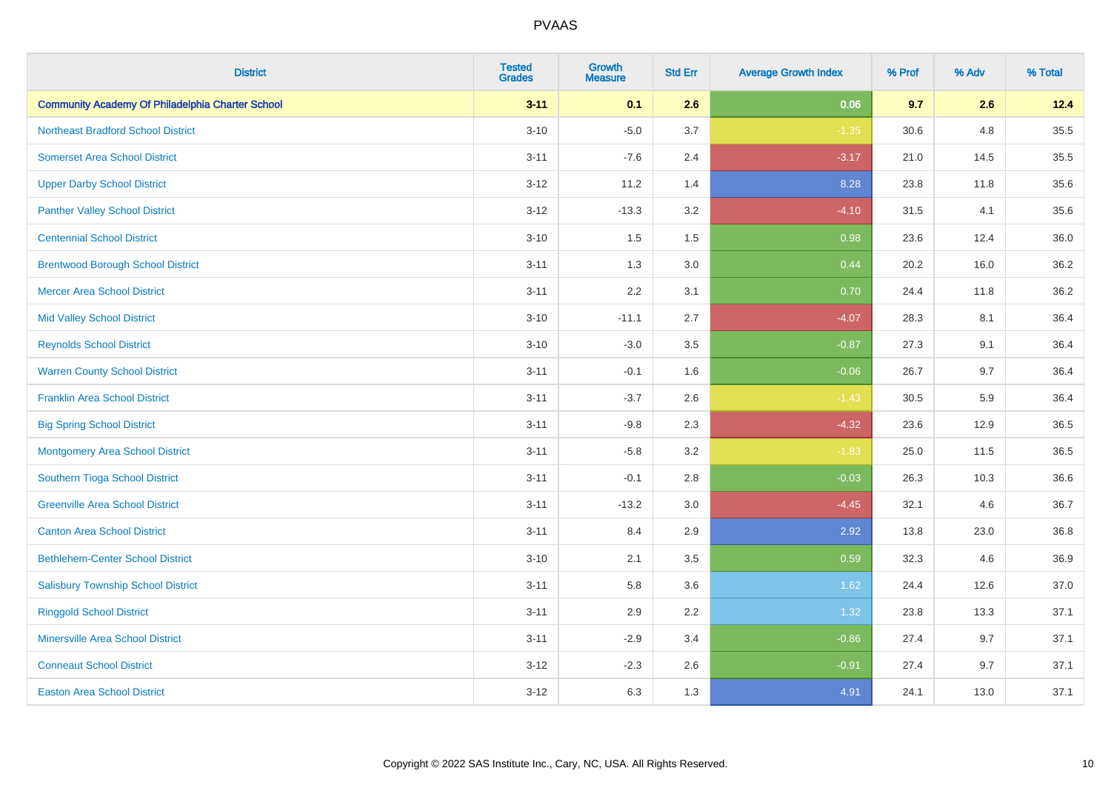| <b>District</b>                                         | <b>Tested</b><br><b>Grades</b> | <b>Growth</b><br><b>Measure</b> | <b>Std Err</b> | <b>Average Growth Index</b> | % Prof | % Adv | % Total |
|---------------------------------------------------------|--------------------------------|---------------------------------|----------------|-----------------------------|--------|-------|---------|
| <b>Community Academy Of Philadelphia Charter School</b> | $3 - 11$                       | 0.1                             | 2.6            | 0.06                        | 9.7    | 2.6   | 12.4    |
| <b>Northeast Bradford School District</b>               | $3 - 10$                       | $-5.0$                          | 3.7            | $-1.35$                     | 30.6   | 4.8   | 35.5    |
| <b>Somerset Area School District</b>                    | $3 - 11$                       | $-7.6$                          | 2.4            | $-3.17$                     | 21.0   | 14.5  | 35.5    |
| <b>Upper Darby School District</b>                      | $3 - 12$                       | 11.2                            | 1.4            | 8.28                        | 23.8   | 11.8  | 35.6    |
| <b>Panther Valley School District</b>                   | $3 - 12$                       | $-13.3$                         | 3.2            | $-4.10$                     | 31.5   | 4.1   | 35.6    |
| <b>Centennial School District</b>                       | $3 - 10$                       | 1.5                             | 1.5            | 0.98                        | 23.6   | 12.4  | 36.0    |
| <b>Brentwood Borough School District</b>                | $3 - 11$                       | 1.3                             | 3.0            | 0.44                        | 20.2   | 16.0  | 36.2    |
| <b>Mercer Area School District</b>                      | $3 - 11$                       | 2.2                             | 3.1            | 0.70                        | 24.4   | 11.8  | 36.2    |
| <b>Mid Valley School District</b>                       | $3 - 10$                       | $-11.1$                         | 2.7            | $-4.07$                     | 28.3   | 8.1   | 36.4    |
| <b>Reynolds School District</b>                         | $3 - 10$                       | $-3.0$                          | 3.5            | $-0.87$                     | 27.3   | 9.1   | 36.4    |
| <b>Warren County School District</b>                    | $3 - 11$                       | $-0.1$                          | 1.6            | $-0.06$                     | 26.7   | 9.7   | 36.4    |
| <b>Franklin Area School District</b>                    | $3 - 11$                       | $-3.7$                          | 2.6            | $-1.43$                     | 30.5   | 5.9   | 36.4    |
| <b>Big Spring School District</b>                       | $3 - 11$                       | $-9.8$                          | 2.3            | $-4.32$                     | 23.6   | 12.9  | 36.5    |
| <b>Montgomery Area School District</b>                  | $3 - 11$                       | $-5.8$                          | 3.2            | $-1.83$                     | 25.0   | 11.5  | 36.5    |
| Southern Tioga School District                          | $3 - 11$                       | $-0.1$                          | 2.8            | $-0.03$                     | 26.3   | 10.3  | 36.6    |
| <b>Greenville Area School District</b>                  | $3 - 11$                       | $-13.2$                         | 3.0            | $-4.45$                     | 32.1   | 4.6   | 36.7    |
| <b>Canton Area School District</b>                      | $3 - 11$                       | 8.4                             | 2.9            | 2.92                        | 13.8   | 23.0  | 36.8    |
| <b>Bethlehem-Center School District</b>                 | $3 - 10$                       | 2.1                             | 3.5            | 0.59                        | 32.3   | 4.6   | 36.9    |
| <b>Salisbury Township School District</b>               | $3 - 11$                       | 5.8                             | 3.6            | 1.62                        | 24.4   | 12.6  | 37.0    |
| <b>Ringgold School District</b>                         | $3 - 11$                       | 2.9                             | 2.2            | 1.32                        | 23.8   | 13.3  | 37.1    |
| <b>Minersville Area School District</b>                 | $3 - 11$                       | $-2.9$                          | 3.4            | $-0.86$                     | 27.4   | 9.7   | 37.1    |
| <b>Conneaut School District</b>                         | $3 - 12$                       | $-2.3$                          | 2.6            | $-0.91$                     | 27.4   | 9.7   | 37.1    |
| <b>Easton Area School District</b>                      | $3 - 12$                       | 6.3                             | 1.3            | 4.91                        | 24.1   | 13.0  | 37.1    |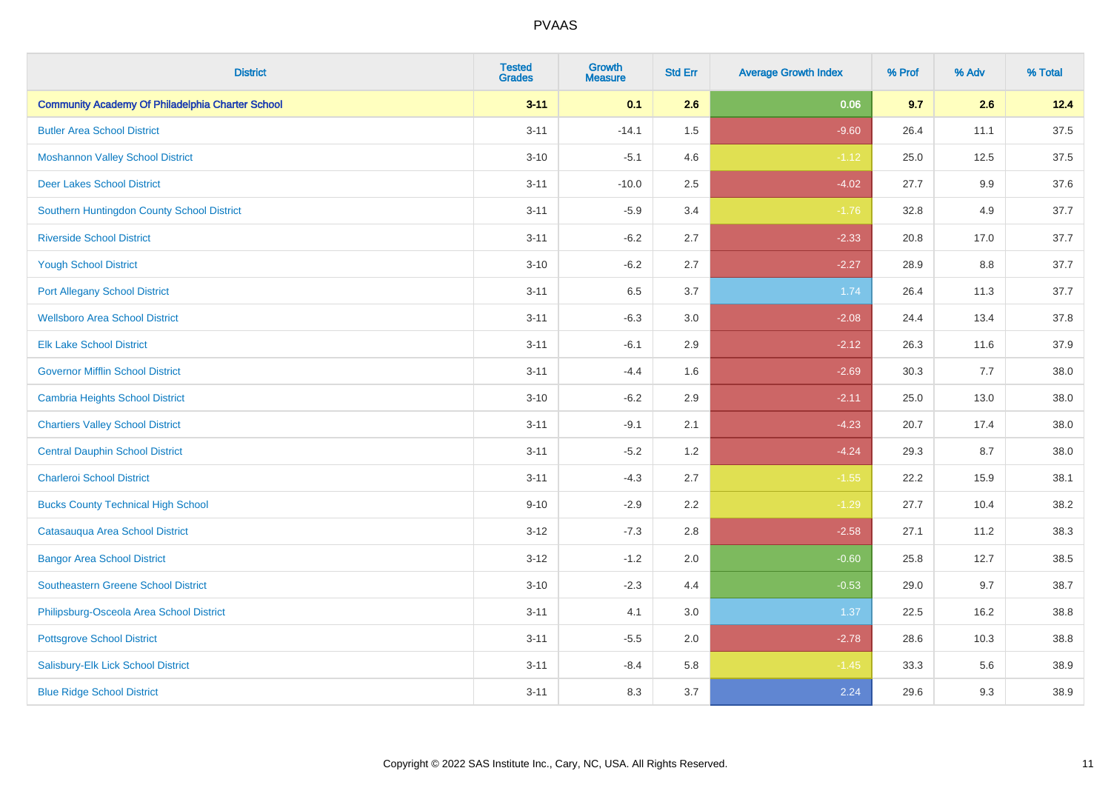| <b>District</b>                                         | <b>Tested</b><br><b>Grades</b> | <b>Growth</b><br><b>Measure</b> | <b>Std Err</b> | <b>Average Growth Index</b> | % Prof | % Adv   | % Total |
|---------------------------------------------------------|--------------------------------|---------------------------------|----------------|-----------------------------|--------|---------|---------|
| <b>Community Academy Of Philadelphia Charter School</b> | $3 - 11$                       | 0.1                             | 2.6            | 0.06                        | 9.7    | 2.6     | 12.4    |
| <b>Butler Area School District</b>                      | $3 - 11$                       | $-14.1$                         | $1.5$          | $-9.60$                     | 26.4   | 11.1    | 37.5    |
| <b>Moshannon Valley School District</b>                 | $3 - 10$                       | $-5.1$                          | 4.6            | $-1.12$                     | 25.0   | 12.5    | 37.5    |
| <b>Deer Lakes School District</b>                       | $3 - 11$                       | $-10.0$                         | 2.5            | $-4.02$                     | 27.7   | $9.9\,$ | 37.6    |
| Southern Huntingdon County School District              | $3 - 11$                       | $-5.9$                          | 3.4            | $-1.76$                     | 32.8   | 4.9     | 37.7    |
| <b>Riverside School District</b>                        | $3 - 11$                       | $-6.2$                          | 2.7            | $-2.33$                     | 20.8   | 17.0    | 37.7    |
| <b>Yough School District</b>                            | $3 - 10$                       | $-6.2$                          | 2.7            | $-2.27$                     | 28.9   | 8.8     | 37.7    |
| <b>Port Allegany School District</b>                    | $3 - 11$                       | 6.5                             | 3.7            | 1.74                        | 26.4   | 11.3    | 37.7    |
| <b>Wellsboro Area School District</b>                   | $3 - 11$                       | $-6.3$                          | 3.0            | $-2.08$                     | 24.4   | 13.4    | 37.8    |
| <b>Elk Lake School District</b>                         | $3 - 11$                       | $-6.1$                          | 2.9            | $-2.12$                     | 26.3   | 11.6    | 37.9    |
| <b>Governor Mifflin School District</b>                 | $3 - 11$                       | $-4.4$                          | 1.6            | $-2.69$                     | 30.3   | 7.7     | 38.0    |
| <b>Cambria Heights School District</b>                  | $3 - 10$                       | $-6.2$                          | 2.9            | $-2.11$                     | 25.0   | 13.0    | 38.0    |
| <b>Chartiers Valley School District</b>                 | $3 - 11$                       | $-9.1$                          | 2.1            | $-4.23$                     | 20.7   | 17.4    | 38.0    |
| <b>Central Dauphin School District</b>                  | $3 - 11$                       | $-5.2$                          | 1.2            | $-4.24$                     | 29.3   | 8.7     | 38.0    |
| <b>Charleroi School District</b>                        | $3 - 11$                       | $-4.3$                          | 2.7            | $-1.55$                     | 22.2   | 15.9    | 38.1    |
| <b>Bucks County Technical High School</b>               | $9 - 10$                       | $-2.9$                          | 2.2            | $-1.29$                     | 27.7   | 10.4    | 38.2    |
| Catasauqua Area School District                         | $3 - 12$                       | $-7.3$                          | 2.8            | $-2.58$                     | 27.1   | 11.2    | 38.3    |
| <b>Bangor Area School District</b>                      | $3 - 12$                       | $-1.2$                          | 2.0            | $-0.60$                     | 25.8   | 12.7    | 38.5    |
| <b>Southeastern Greene School District</b>              | $3 - 10$                       | $-2.3$                          | 4.4            | $-0.53$                     | 29.0   | 9.7     | 38.7    |
| Philipsburg-Osceola Area School District                | $3 - 11$                       | 4.1                             | 3.0            | 1.37                        | 22.5   | 16.2    | 38.8    |
| <b>Pottsgrove School District</b>                       | $3 - 11$                       | $-5.5$                          | 2.0            | $-2.78$                     | 28.6   | 10.3    | 38.8    |
| Salisbury-Elk Lick School District                      | $3 - 11$                       | $-8.4$                          | 5.8            | $-1.45$                     | 33.3   | 5.6     | 38.9    |
| <b>Blue Ridge School District</b>                       | $3 - 11$                       | 8.3                             | 3.7            | 2.24                        | 29.6   | 9.3     | 38.9    |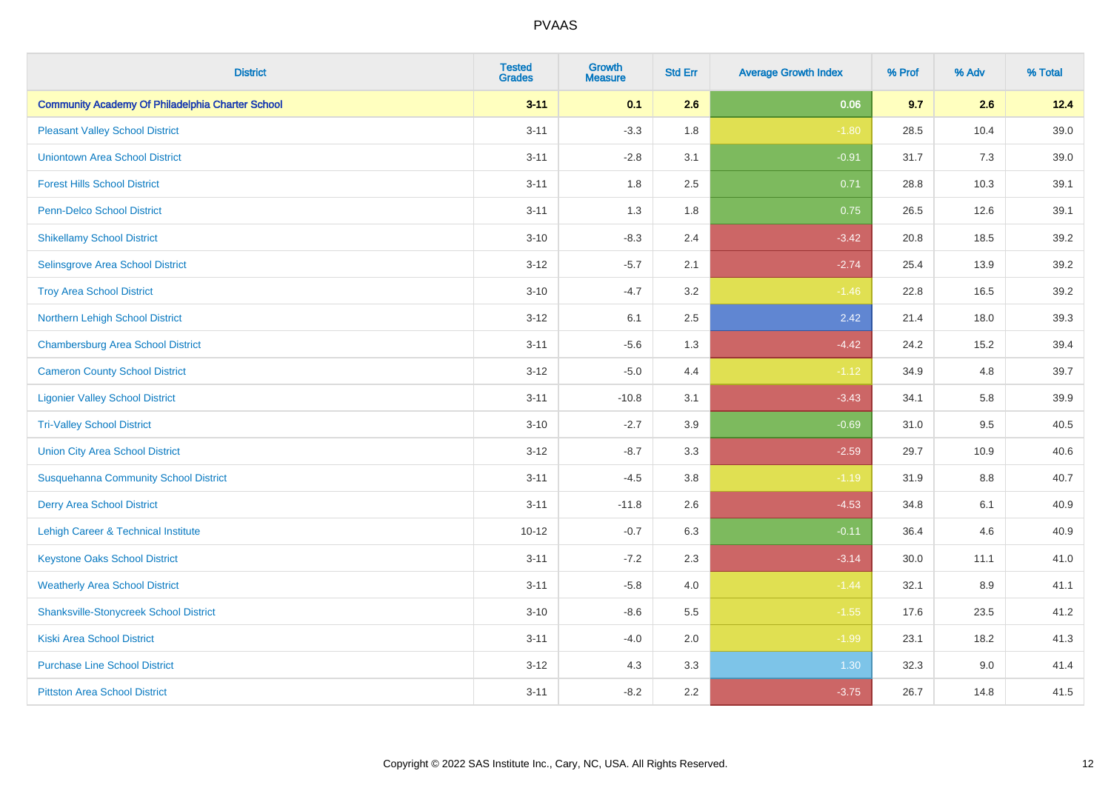| <b>District</b>                                         | <b>Tested</b><br><b>Grades</b> | <b>Growth</b><br><b>Measure</b> | <b>Std Err</b> | <b>Average Growth Index</b> | % Prof | % Adv   | % Total  |
|---------------------------------------------------------|--------------------------------|---------------------------------|----------------|-----------------------------|--------|---------|----------|
| <b>Community Academy Of Philadelphia Charter School</b> | $3 - 11$                       | 0.1                             | 2.6            | 0.06                        | 9.7    | 2.6     | 12.4     |
| <b>Pleasant Valley School District</b>                  | $3 - 11$                       | $-3.3$                          | 1.8            | $-1.80$                     | 28.5   | 10.4    | $39.0\,$ |
| <b>Uniontown Area School District</b>                   | $3 - 11$                       | $-2.8$                          | 3.1            | $-0.91$                     | 31.7   | 7.3     | 39.0     |
| <b>Forest Hills School District</b>                     | $3 - 11$                       | 1.8                             | 2.5            | 0.71                        | 28.8   | 10.3    | 39.1     |
| <b>Penn-Delco School District</b>                       | $3 - 11$                       | 1.3                             | 1.8            | 0.75                        | 26.5   | 12.6    | 39.1     |
| <b>Shikellamy School District</b>                       | $3 - 10$                       | $-8.3$                          | 2.4            | $-3.42$                     | 20.8   | 18.5    | 39.2     |
| Selinsgrove Area School District                        | $3 - 12$                       | $-5.7$                          | 2.1            | $-2.74$                     | 25.4   | 13.9    | 39.2     |
| <b>Troy Area School District</b>                        | $3 - 10$                       | $-4.7$                          | 3.2            | $-1.46$                     | 22.8   | 16.5    | 39.2     |
| Northern Lehigh School District                         | $3 - 12$                       | 6.1                             | 2.5            | 2.42                        | 21.4   | 18.0    | 39.3     |
| <b>Chambersburg Area School District</b>                | $3 - 11$                       | $-5.6$                          | 1.3            | $-4.42$                     | 24.2   | 15.2    | 39.4     |
| <b>Cameron County School District</b>                   | $3 - 12$                       | $-5.0$                          | 4.4            | $-1.12$                     | 34.9   | 4.8     | 39.7     |
| <b>Ligonier Valley School District</b>                  | $3 - 11$                       | $-10.8$                         | 3.1            | $-3.43$                     | 34.1   | 5.8     | 39.9     |
| <b>Tri-Valley School District</b>                       | $3 - 10$                       | $-2.7$                          | 3.9            | $-0.69$                     | 31.0   | 9.5     | 40.5     |
| <b>Union City Area School District</b>                  | $3 - 12$                       | $-8.7$                          | 3.3            | $-2.59$                     | 29.7   | 10.9    | 40.6     |
| <b>Susquehanna Community School District</b>            | $3 - 11$                       | $-4.5$                          | 3.8            | $-1.19$                     | 31.9   | 8.8     | 40.7     |
| <b>Derry Area School District</b>                       | $3 - 11$                       | $-11.8$                         | 2.6            | $-4.53$                     | 34.8   | 6.1     | 40.9     |
| Lehigh Career & Technical Institute                     | $10 - 12$                      | $-0.7$                          | 6.3            | $-0.11$                     | 36.4   | 4.6     | 40.9     |
| <b>Keystone Oaks School District</b>                    | $3 - 11$                       | $-7.2$                          | 2.3            | $-3.14$                     | 30.0   | 11.1    | 41.0     |
| <b>Weatherly Area School District</b>                   | $3 - 11$                       | $-5.8$                          | 4.0            | $-1.44$                     | 32.1   | $8.9\,$ | 41.1     |
| <b>Shanksville-Stonycreek School District</b>           | $3 - 10$                       | $-8.6$                          | 5.5            | $-1.55$                     | 17.6   | 23.5    | 41.2     |
| <b>Kiski Area School District</b>                       | $3 - 11$                       | $-4.0$                          | 2.0            | $-1.99$                     | 23.1   | 18.2    | 41.3     |
| <b>Purchase Line School District</b>                    | $3 - 12$                       | 4.3                             | 3.3            | 1.30                        | 32.3   | 9.0     | 41.4     |
| <b>Pittston Area School District</b>                    | $3 - 11$                       | $-8.2$                          | 2.2            | $-3.75$                     | 26.7   | 14.8    | 41.5     |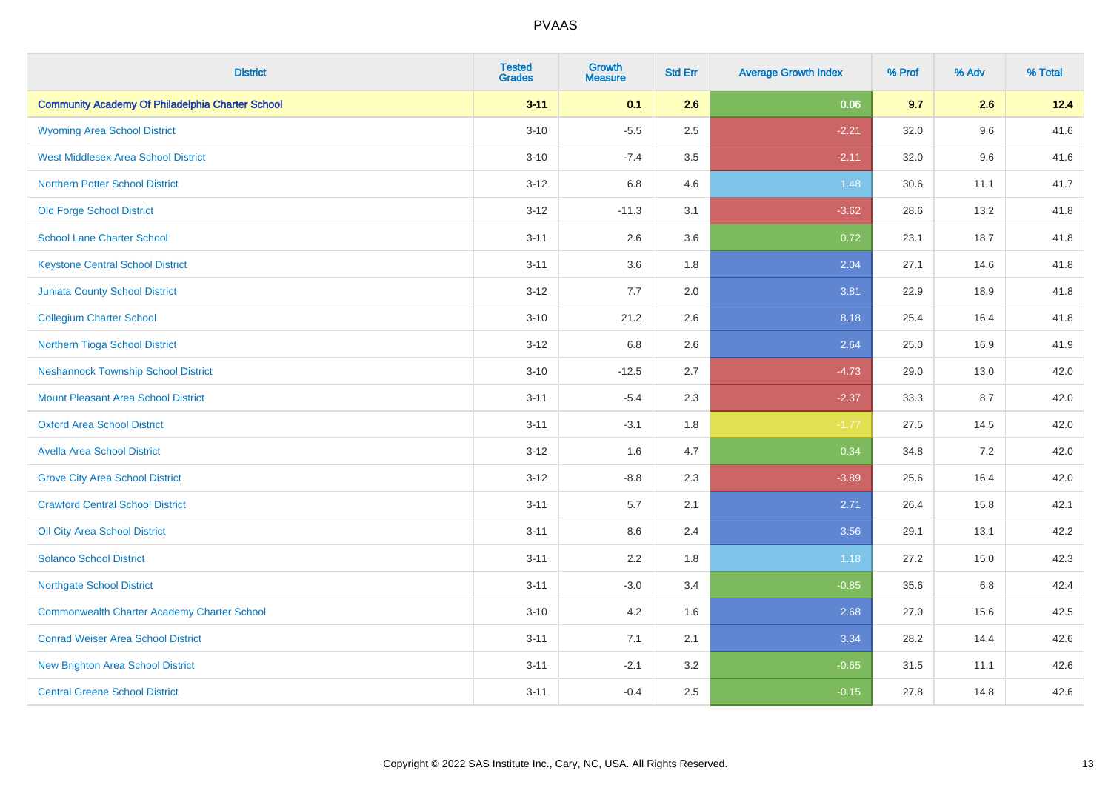| <b>District</b>                                         | <b>Tested</b><br><b>Grades</b> | <b>Growth</b><br><b>Measure</b> | <b>Std Err</b> | <b>Average Growth Index</b> | % Prof | % Adv | % Total |
|---------------------------------------------------------|--------------------------------|---------------------------------|----------------|-----------------------------|--------|-------|---------|
| <b>Community Academy Of Philadelphia Charter School</b> | $3 - 11$                       | 0.1                             | 2.6            | 0.06                        | 9.7    | 2.6   | 12.4    |
| <b>Wyoming Area School District</b>                     | $3 - 10$                       | $-5.5$                          | 2.5            | $-2.21$                     | 32.0   | 9.6   | 41.6    |
| <b>West Middlesex Area School District</b>              | $3 - 10$                       | $-7.4$                          | 3.5            | $-2.11$                     | 32.0   | 9.6   | 41.6    |
| <b>Northern Potter School District</b>                  | $3 - 12$                       | 6.8                             | 4.6            | 1.48                        | 30.6   | 11.1  | 41.7    |
| <b>Old Forge School District</b>                        | $3 - 12$                       | $-11.3$                         | 3.1            | $-3.62$                     | 28.6   | 13.2  | 41.8    |
| <b>School Lane Charter School</b>                       | $3 - 11$                       | 2.6                             | 3.6            | 0.72                        | 23.1   | 18.7  | 41.8    |
| <b>Keystone Central School District</b>                 | $3 - 11$                       | 3.6                             | 1.8            | 2.04                        | 27.1   | 14.6  | 41.8    |
| <b>Juniata County School District</b>                   | $3 - 12$                       | 7.7                             | 2.0            | 3.81                        | 22.9   | 18.9  | 41.8    |
| <b>Collegium Charter School</b>                         | $3 - 10$                       | 21.2                            | 2.6            | 8.18                        | 25.4   | 16.4  | 41.8    |
| Northern Tioga School District                          | $3 - 12$                       | 6.8                             | 2.6            | 2.64                        | 25.0   | 16.9  | 41.9    |
| <b>Neshannock Township School District</b>              | $3 - 10$                       | $-12.5$                         | 2.7            | $-4.73$                     | 29.0   | 13.0  | 42.0    |
| <b>Mount Pleasant Area School District</b>              | $3 - 11$                       | $-5.4$                          | 2.3            | $-2.37$                     | 33.3   | 8.7   | 42.0    |
| <b>Oxford Area School District</b>                      | $3 - 11$                       | $-3.1$                          | 1.8            | $-1.77$                     | 27.5   | 14.5  | 42.0    |
| <b>Avella Area School District</b>                      | $3 - 12$                       | 1.6                             | 4.7            | 0.34                        | 34.8   | 7.2   | 42.0    |
| <b>Grove City Area School District</b>                  | $3 - 12$                       | $-8.8$                          | 2.3            | $-3.89$                     | 25.6   | 16.4  | 42.0    |
| <b>Crawford Central School District</b>                 | $3 - 11$                       | 5.7                             | 2.1            | 2.71                        | 26.4   | 15.8  | 42.1    |
| Oil City Area School District                           | $3 - 11$                       | 8.6                             | 2.4            | 3.56                        | 29.1   | 13.1  | 42.2    |
| <b>Solanco School District</b>                          | $3 - 11$                       | 2.2                             | 1.8            | 1.18                        | 27.2   | 15.0  | 42.3    |
| <b>Northgate School District</b>                        | $3 - 11$                       | $-3.0$                          | 3.4            | $-0.85$                     | 35.6   | 6.8   | 42.4    |
| <b>Commonwealth Charter Academy Charter School</b>      | $3 - 10$                       | 4.2                             | 1.6            | 2.68                        | 27.0   | 15.6  | 42.5    |
| <b>Conrad Weiser Area School District</b>               | $3 - 11$                       | 7.1                             | 2.1            | 3.34                        | 28.2   | 14.4  | 42.6    |
| <b>New Brighton Area School District</b>                | $3 - 11$                       | $-2.1$                          | 3.2            | $-0.65$                     | 31.5   | 11.1  | 42.6    |
| <b>Central Greene School District</b>                   | $3 - 11$                       | $-0.4$                          | 2.5            | $-0.15$                     | 27.8   | 14.8  | 42.6    |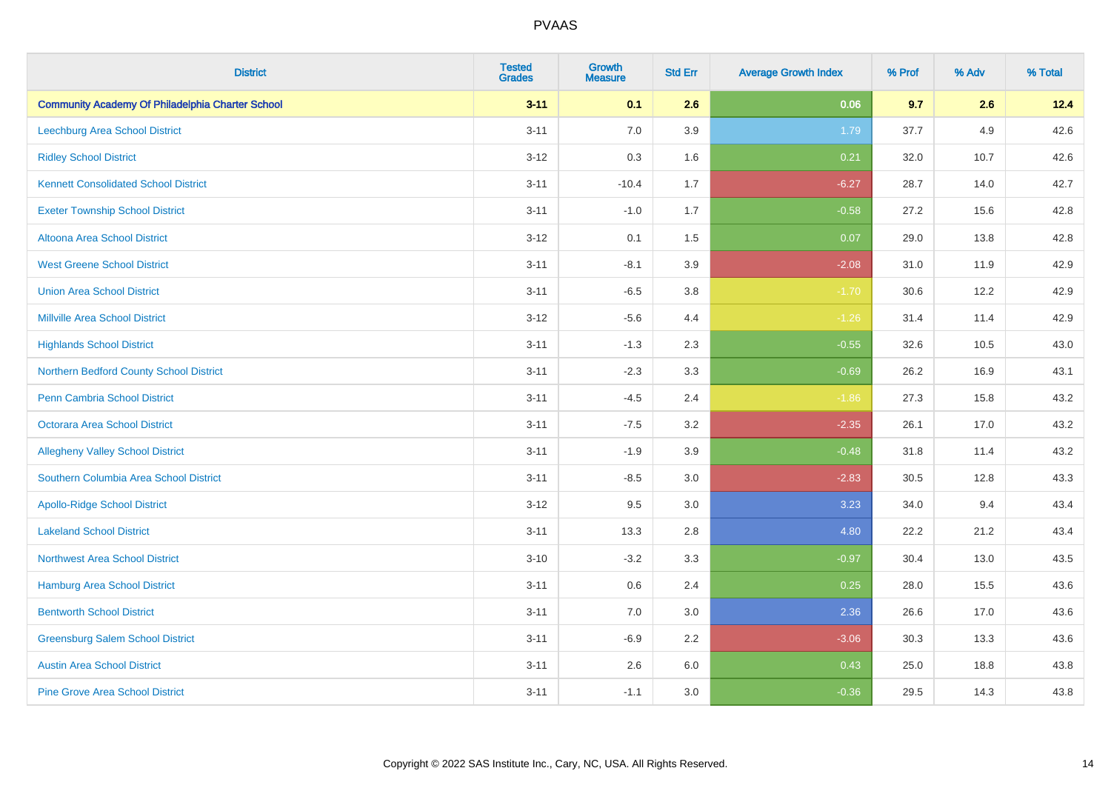| <b>District</b>                                         | <b>Tested</b><br><b>Grades</b> | <b>Growth</b><br><b>Measure</b> | <b>Std Err</b> | <b>Average Growth Index</b> | % Prof | % Adv | % Total |
|---------------------------------------------------------|--------------------------------|---------------------------------|----------------|-----------------------------|--------|-------|---------|
| <b>Community Academy Of Philadelphia Charter School</b> | $3 - 11$                       | 0.1                             | 2.6            | 0.06                        | 9.7    | 2.6   | 12.4    |
| <b>Leechburg Area School District</b>                   | $3 - 11$                       | 7.0                             | 3.9            | 1.79                        | 37.7   | 4.9   | 42.6    |
| <b>Ridley School District</b>                           | $3 - 12$                       | 0.3                             | 1.6            | 0.21                        | 32.0   | 10.7  | 42.6    |
| <b>Kennett Consolidated School District</b>             | $3 - 11$                       | $-10.4$                         | 1.7            | $-6.27$                     | 28.7   | 14.0  | 42.7    |
| <b>Exeter Township School District</b>                  | $3 - 11$                       | $-1.0$                          | 1.7            | $-0.58$                     | 27.2   | 15.6  | 42.8    |
| Altoona Area School District                            | $3 - 12$                       | 0.1                             | 1.5            | 0.07                        | 29.0   | 13.8  | 42.8    |
| <b>West Greene School District</b>                      | $3 - 11$                       | $-8.1$                          | 3.9            | $-2.08$                     | 31.0   | 11.9  | 42.9    |
| <b>Union Area School District</b>                       | $3 - 11$                       | $-6.5$                          | 3.8            | $-1.70$                     | 30.6   | 12.2  | 42.9    |
| <b>Millville Area School District</b>                   | $3 - 12$                       | $-5.6$                          | 4.4            | $-1.26$                     | 31.4   | 11.4  | 42.9    |
| <b>Highlands School District</b>                        | $3 - 11$                       | $-1.3$                          | 2.3            | $-0.55$                     | 32.6   | 10.5  | 43.0    |
| Northern Bedford County School District                 | $3 - 11$                       | $-2.3$                          | 3.3            | $-0.69$                     | 26.2   | 16.9  | 43.1    |
| <b>Penn Cambria School District</b>                     | $3 - 11$                       | $-4.5$                          | 2.4            | $-1.86$                     | 27.3   | 15.8  | 43.2    |
| Octorara Area School District                           | $3 - 11$                       | $-7.5$                          | 3.2            | $-2.35$                     | 26.1   | 17.0  | 43.2    |
| <b>Allegheny Valley School District</b>                 | $3 - 11$                       | $-1.9$                          | 3.9            | $-0.48$                     | 31.8   | 11.4  | 43.2    |
| Southern Columbia Area School District                  | $3 - 11$                       | $-8.5$                          | 3.0            | $-2.83$                     | 30.5   | 12.8  | 43.3    |
| <b>Apollo-Ridge School District</b>                     | $3 - 12$                       | 9.5                             | 3.0            | 3.23                        | 34.0   | 9.4   | 43.4    |
| <b>Lakeland School District</b>                         | $3 - 11$                       | 13.3                            | 2.8            | 4.80                        | 22.2   | 21.2  | 43.4    |
| <b>Northwest Area School District</b>                   | $3 - 10$                       | $-3.2$                          | 3.3            | $-0.97$                     | 30.4   | 13.0  | 43.5    |
| <b>Hamburg Area School District</b>                     | $3 - 11$                       | $0.6\,$                         | 2.4            | 0.25                        | 28.0   | 15.5  | 43.6    |
| <b>Bentworth School District</b>                        | $3 - 11$                       | 7.0                             | 3.0            | 2.36                        | 26.6   | 17.0  | 43.6    |
| <b>Greensburg Salem School District</b>                 | $3 - 11$                       | $-6.9$                          | 2.2            | $-3.06$                     | 30.3   | 13.3  | 43.6    |
| <b>Austin Area School District</b>                      | $3 - 11$                       | 2.6                             | 6.0            | 0.43                        | 25.0   | 18.8  | 43.8    |
| <b>Pine Grove Area School District</b>                  | $3 - 11$                       | $-1.1$                          | 3.0            | $-0.36$                     | 29.5   | 14.3  | 43.8    |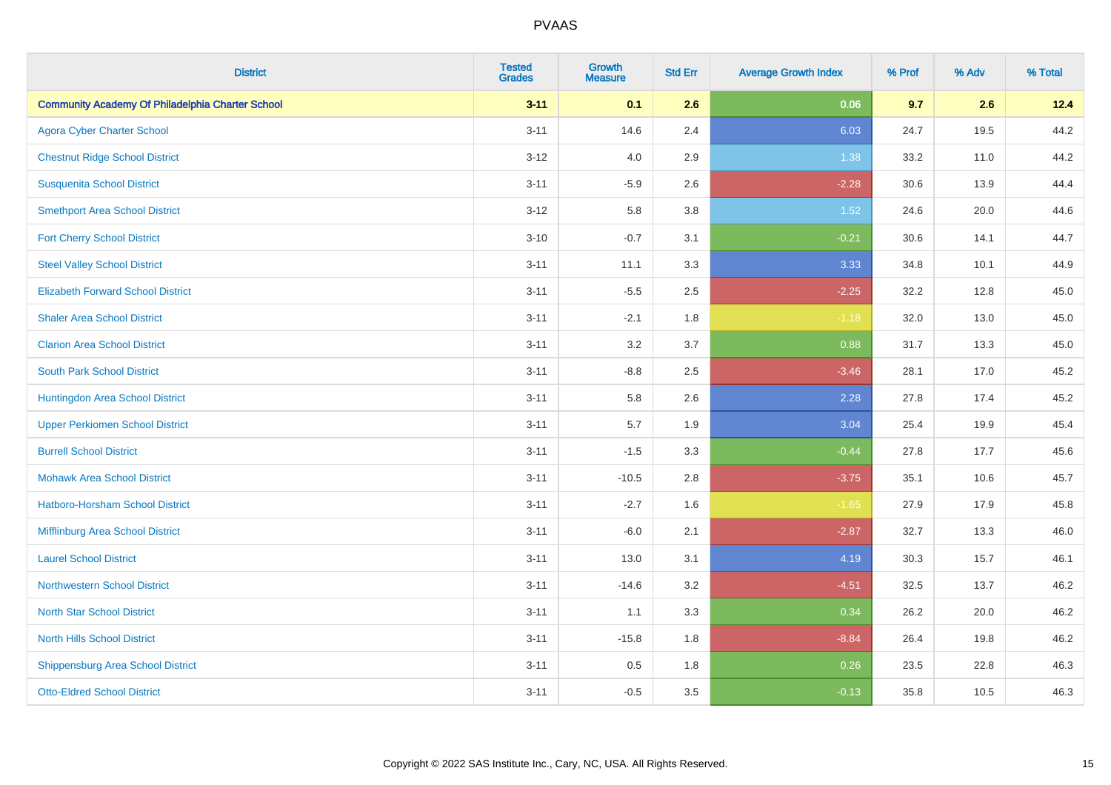| <b>District</b>                                         | <b>Tested</b><br><b>Grades</b> | <b>Growth</b><br><b>Measure</b> | <b>Std Err</b> | <b>Average Growth Index</b> | % Prof | % Adv | % Total |
|---------------------------------------------------------|--------------------------------|---------------------------------|----------------|-----------------------------|--------|-------|---------|
| <b>Community Academy Of Philadelphia Charter School</b> | $3 - 11$                       | 0.1                             | 2.6            | 0.06                        | 9.7    | 2.6   | 12.4    |
| <b>Agora Cyber Charter School</b>                       | $3 - 11$                       | 14.6                            | 2.4            | 6.03                        | 24.7   | 19.5  | 44.2    |
| <b>Chestnut Ridge School District</b>                   | $3 - 12$                       | 4.0                             | 2.9            | 1.38                        | 33.2   | 11.0  | 44.2    |
| <b>Susquenita School District</b>                       | $3 - 11$                       | $-5.9$                          | 2.6            | $-2.28$                     | 30.6   | 13.9  | 44.4    |
| <b>Smethport Area School District</b>                   | $3 - 12$                       | 5.8                             | 3.8            | 1.52                        | 24.6   | 20.0  | 44.6    |
| <b>Fort Cherry School District</b>                      | $3 - 10$                       | $-0.7$                          | 3.1            | $-0.21$                     | 30.6   | 14.1  | 44.7    |
| <b>Steel Valley School District</b>                     | $3 - 11$                       | 11.1                            | 3.3            | 3.33                        | 34.8   | 10.1  | 44.9    |
| <b>Elizabeth Forward School District</b>                | $3 - 11$                       | $-5.5$                          | 2.5            | $-2.25$                     | 32.2   | 12.8  | 45.0    |
| <b>Shaler Area School District</b>                      | $3 - 11$                       | $-2.1$                          | 1.8            | $-1.18$                     | 32.0   | 13.0  | 45.0    |
| <b>Clarion Area School District</b>                     | $3 - 11$                       | 3.2                             | 3.7            | 0.88                        | 31.7   | 13.3  | 45.0    |
| <b>South Park School District</b>                       | $3 - 11$                       | $-8.8$                          | 2.5            | $-3.46$                     | 28.1   | 17.0  | 45.2    |
| Huntingdon Area School District                         | $3 - 11$                       | 5.8                             | 2.6            | 2.28                        | 27.8   | 17.4  | 45.2    |
| <b>Upper Perkiomen School District</b>                  | $3 - 11$                       | 5.7                             | 1.9            | 3.04                        | 25.4   | 19.9  | 45.4    |
| <b>Burrell School District</b>                          | $3 - 11$                       | $-1.5$                          | 3.3            | $-0.44$                     | 27.8   | 17.7  | 45.6    |
| <b>Mohawk Area School District</b>                      | $3 - 11$                       | $-10.5$                         | 2.8            | $-3.75$                     | 35.1   | 10.6  | 45.7    |
| Hatboro-Horsham School District                         | $3 - 11$                       | $-2.7$                          | 1.6            | $-1.65$                     | 27.9   | 17.9  | 45.8    |
| Mifflinburg Area School District                        | $3 - 11$                       | $-6.0$                          | 2.1            | $-2.87$                     | 32.7   | 13.3  | 46.0    |
| <b>Laurel School District</b>                           | $3 - 11$                       | 13.0                            | 3.1            | 4.19                        | 30.3   | 15.7  | 46.1    |
| Northwestern School District                            | $3 - 11$                       | $-14.6$                         | 3.2            | $-4.51$                     | 32.5   | 13.7  | 46.2    |
| <b>North Star School District</b>                       | $3 - 11$                       | 1.1                             | 3.3            | 0.34                        | 26.2   | 20.0  | 46.2    |
| <b>North Hills School District</b>                      | $3 - 11$                       | $-15.8$                         | 1.8            | $-8.84$                     | 26.4   | 19.8  | 46.2    |
| <b>Shippensburg Area School District</b>                | $3 - 11$                       | 0.5                             | 1.8            | 0.26                        | 23.5   | 22.8  | 46.3    |
| <b>Otto-Eldred School District</b>                      | $3 - 11$                       | $-0.5$                          | 3.5            | $-0.13$                     | 35.8   | 10.5  | 46.3    |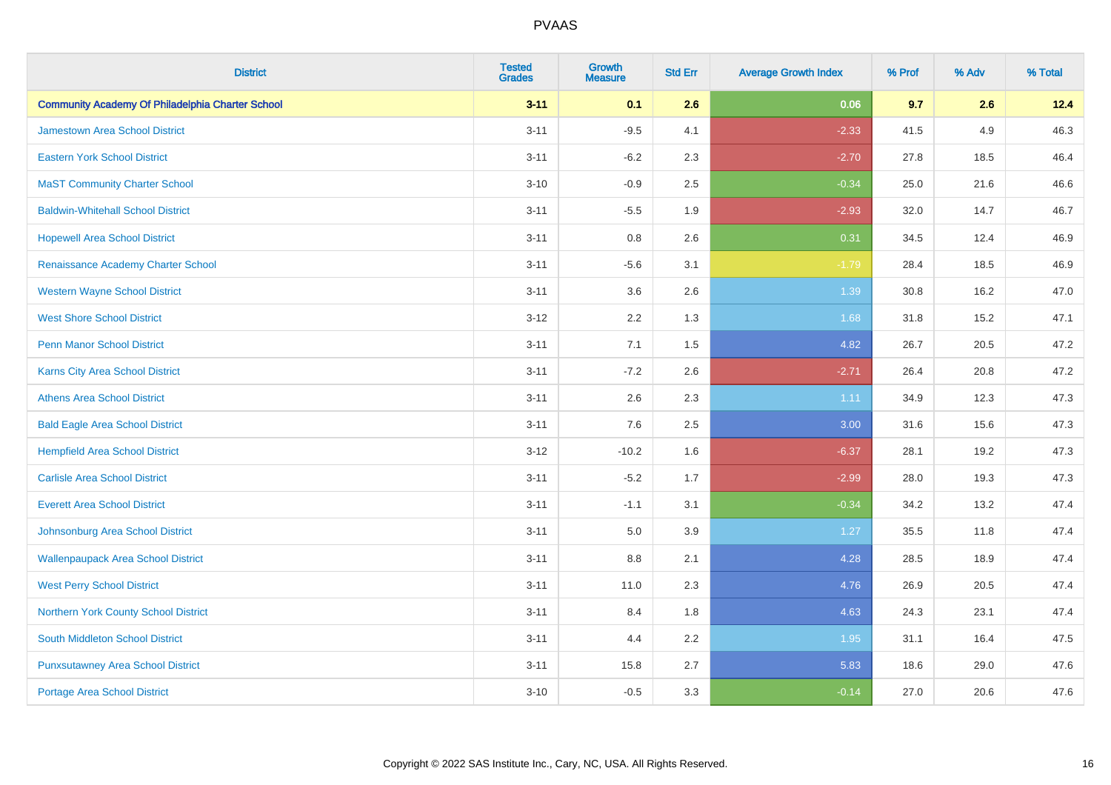| <b>District</b>                                         | <b>Tested</b><br><b>Grades</b> | Growth<br><b>Measure</b> | <b>Std Err</b> | <b>Average Growth Index</b> | % Prof | % Adv | % Total |
|---------------------------------------------------------|--------------------------------|--------------------------|----------------|-----------------------------|--------|-------|---------|
| <b>Community Academy Of Philadelphia Charter School</b> | $3 - 11$                       | 0.1                      | 2.6            | 0.06                        | 9.7    | 2.6   | 12.4    |
| Jamestown Area School District                          | $3 - 11$                       | $-9.5$                   | 4.1            | $-2.33$                     | 41.5   | 4.9   | 46.3    |
| <b>Eastern York School District</b>                     | $3 - 11$                       | $-6.2$                   | 2.3            | $-2.70$                     | 27.8   | 18.5  | 46.4    |
| <b>MaST Community Charter School</b>                    | $3 - 10$                       | $-0.9$                   | 2.5            | $-0.34$                     | 25.0   | 21.6  | 46.6    |
| <b>Baldwin-Whitehall School District</b>                | $3 - 11$                       | $-5.5$                   | 1.9            | $-2.93$                     | 32.0   | 14.7  | 46.7    |
| <b>Hopewell Area School District</b>                    | $3 - 11$                       | 0.8                      | 2.6            | 0.31                        | 34.5   | 12.4  | 46.9    |
| Renaissance Academy Charter School                      | $3 - 11$                       | $-5.6$                   | 3.1            | $-1.79$                     | 28.4   | 18.5  | 46.9    |
| <b>Western Wayne School District</b>                    | $3 - 11$                       | 3.6                      | 2.6            | 1.39                        | 30.8   | 16.2  | 47.0    |
| <b>West Shore School District</b>                       | $3 - 12$                       | 2.2                      | 1.3            | 1.68                        | 31.8   | 15.2  | 47.1    |
| <b>Penn Manor School District</b>                       | $3 - 11$                       | 7.1                      | 1.5            | 4.82                        | 26.7   | 20.5  | 47.2    |
| <b>Karns City Area School District</b>                  | $3 - 11$                       | $-7.2$                   | 2.6            | $-2.71$                     | 26.4   | 20.8  | 47.2    |
| <b>Athens Area School District</b>                      | $3 - 11$                       | 2.6                      | 2.3            | 1.11                        | 34.9   | 12.3  | 47.3    |
| <b>Bald Eagle Area School District</b>                  | $3 - 11$                       | 7.6                      | 2.5            | 3.00                        | 31.6   | 15.6  | 47.3    |
| <b>Hempfield Area School District</b>                   | $3 - 12$                       | $-10.2$                  | 1.6            | $-6.37$                     | 28.1   | 19.2  | 47.3    |
| <b>Carlisle Area School District</b>                    | $3 - 11$                       | $-5.2$                   | 1.7            | $-2.99$                     | 28.0   | 19.3  | 47.3    |
| <b>Everett Area School District</b>                     | $3 - 11$                       | $-1.1$                   | 3.1            | $-0.34$                     | 34.2   | 13.2  | 47.4    |
| Johnsonburg Area School District                        | $3 - 11$                       | 5.0                      | 3.9            | 1.27                        | 35.5   | 11.8  | 47.4    |
| <b>Wallenpaupack Area School District</b>               | $3 - 11$                       | $8.8\,$                  | 2.1            | 4.28                        | 28.5   | 18.9  | 47.4    |
| <b>West Perry School District</b>                       | $3 - 11$                       | 11.0                     | 2.3            | 4.76                        | 26.9   | 20.5  | 47.4    |
| <b>Northern York County School District</b>             | $3 - 11$                       | 8.4                      | 1.8            | 4.63                        | 24.3   | 23.1  | 47.4    |
| South Middleton School District                         | $3 - 11$                       | 4.4                      | 2.2            | 1.95                        | 31.1   | 16.4  | 47.5    |
| <b>Punxsutawney Area School District</b>                | $3 - 11$                       | 15.8                     | 2.7            | 5.83                        | 18.6   | 29.0  | 47.6    |
| <b>Portage Area School District</b>                     | $3 - 10$                       | $-0.5$                   | 3.3            | $-0.14$                     | 27.0   | 20.6  | 47.6    |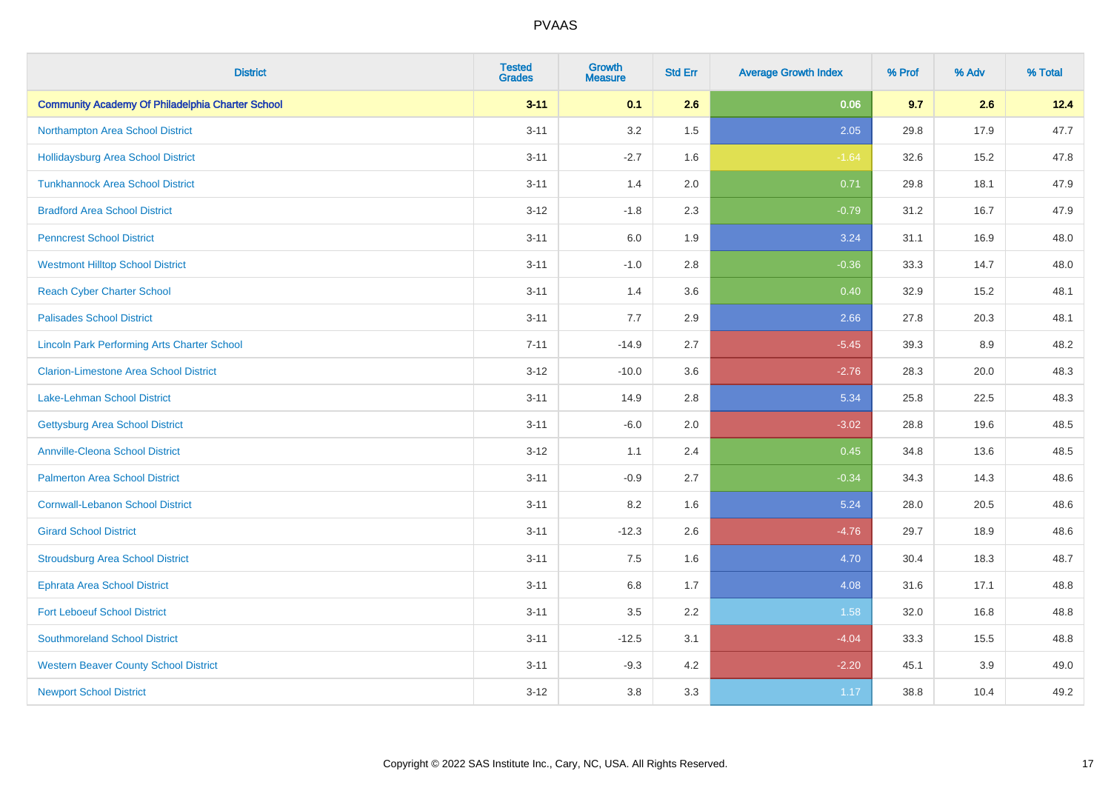| <b>District</b>                                         | <b>Tested</b><br><b>Grades</b> | <b>Growth</b><br><b>Measure</b> | <b>Std Err</b> | <b>Average Growth Index</b> | % Prof | % Adv | % Total |
|---------------------------------------------------------|--------------------------------|---------------------------------|----------------|-----------------------------|--------|-------|---------|
| <b>Community Academy Of Philadelphia Charter School</b> | $3 - 11$                       | 0.1                             | 2.6            | 0.06                        | 9.7    | 2.6   | 12.4    |
| Northampton Area School District                        | $3 - 11$                       | 3.2                             | 1.5            | 2.05                        | 29.8   | 17.9  | 47.7    |
| <b>Hollidaysburg Area School District</b>               | $3 - 11$                       | $-2.7$                          | 1.6            | $-1.64$                     | 32.6   | 15.2  | 47.8    |
| <b>Tunkhannock Area School District</b>                 | $3 - 11$                       | 1.4                             | 2.0            | 0.71                        | 29.8   | 18.1  | 47.9    |
| <b>Bradford Area School District</b>                    | $3 - 12$                       | $-1.8$                          | 2.3            | $-0.79$                     | 31.2   | 16.7  | 47.9    |
| <b>Penncrest School District</b>                        | $3 - 11$                       | 6.0                             | 1.9            | 3.24                        | 31.1   | 16.9  | 48.0    |
| <b>Westmont Hilltop School District</b>                 | $3 - 11$                       | $-1.0$                          | 2.8            | $-0.36$                     | 33.3   | 14.7  | 48.0    |
| <b>Reach Cyber Charter School</b>                       | $3 - 11$                       | 1.4                             | 3.6            | 0.40                        | 32.9   | 15.2  | 48.1    |
| <b>Palisades School District</b>                        | $3 - 11$                       | 7.7                             | 2.9            | 2.66                        | 27.8   | 20.3  | 48.1    |
| <b>Lincoln Park Performing Arts Charter School</b>      | $7 - 11$                       | $-14.9$                         | 2.7            | $-5.45$                     | 39.3   | 8.9   | 48.2    |
| <b>Clarion-Limestone Area School District</b>           | $3 - 12$                       | $-10.0$                         | 3.6            | $-2.76$                     | 28.3   | 20.0  | 48.3    |
| <b>Lake-Lehman School District</b>                      | $3 - 11$                       | 14.9                            | 2.8            | 5.34                        | 25.8   | 22.5  | 48.3    |
| <b>Gettysburg Area School District</b>                  | $3 - 11$                       | $-6.0$                          | 2.0            | $-3.02$                     | 28.8   | 19.6  | 48.5    |
| <b>Annville-Cleona School District</b>                  | $3 - 12$                       | 1.1                             | 2.4            | 0.45                        | 34.8   | 13.6  | 48.5    |
| <b>Palmerton Area School District</b>                   | $3 - 11$                       | $-0.9$                          | 2.7            | $-0.34$                     | 34.3   | 14.3  | 48.6    |
| <b>Cornwall-Lebanon School District</b>                 | $3 - 11$                       | 8.2                             | 1.6            | 5.24                        | 28.0   | 20.5  | 48.6    |
| <b>Girard School District</b>                           | $3 - 11$                       | $-12.3$                         | 2.6            | $-4.76$                     | 29.7   | 18.9  | 48.6    |
| <b>Stroudsburg Area School District</b>                 | $3 - 11$                       | 7.5                             | 1.6            | 4.70                        | 30.4   | 18.3  | 48.7    |
| <b>Ephrata Area School District</b>                     | $3 - 11$                       | $6.8\,$                         | 1.7            | 4.08                        | 31.6   | 17.1  | 48.8    |
| <b>Fort Leboeuf School District</b>                     | $3 - 11$                       | 3.5                             | 2.2            | 1.58                        | 32.0   | 16.8  | 48.8    |
| <b>Southmoreland School District</b>                    | $3 - 11$                       | $-12.5$                         | 3.1            | $-4.04$                     | 33.3   | 15.5  | 48.8    |
| <b>Western Beaver County School District</b>            | $3 - 11$                       | $-9.3$                          | 4.2            | $-2.20$                     | 45.1   | 3.9   | 49.0    |
| <b>Newport School District</b>                          | $3 - 12$                       | 3.8                             | 3.3            | 1.17                        | 38.8   | 10.4  | 49.2    |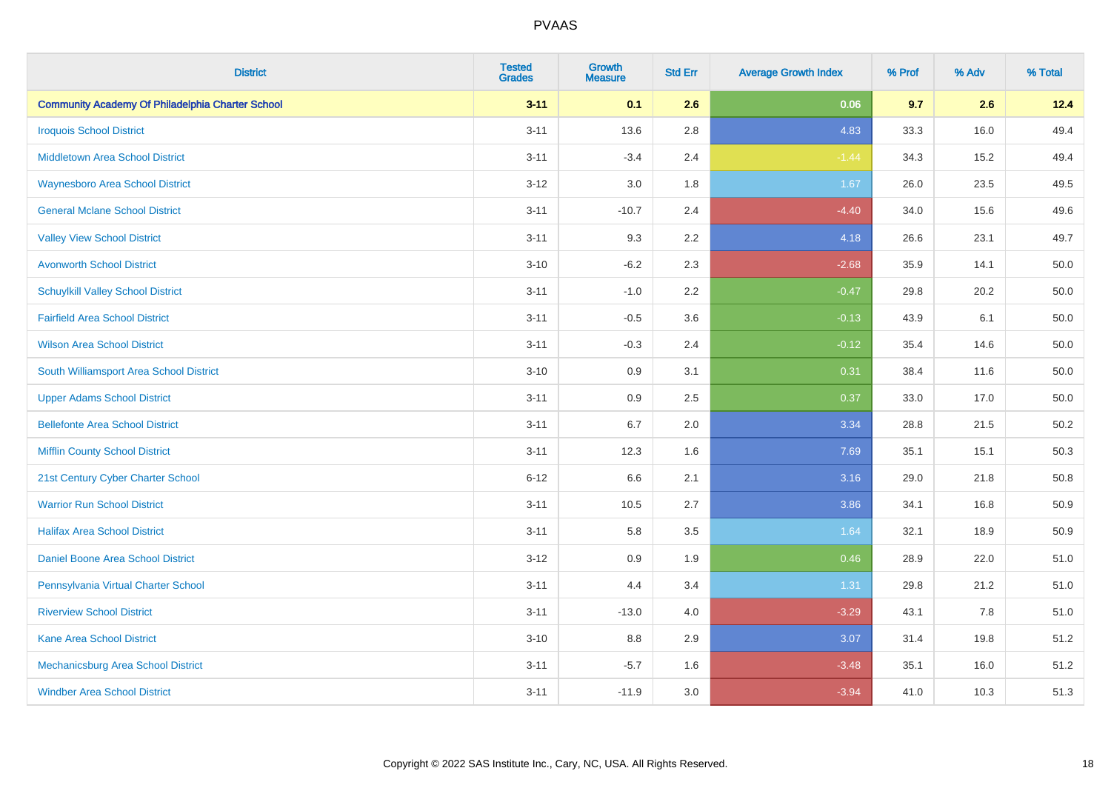| <b>District</b>                                         | <b>Tested</b><br><b>Grades</b> | Growth<br><b>Measure</b> | <b>Std Err</b> | <b>Average Growth Index</b> | % Prof | % Adv | % Total  |
|---------------------------------------------------------|--------------------------------|--------------------------|----------------|-----------------------------|--------|-------|----------|
| <b>Community Academy Of Philadelphia Charter School</b> | $3 - 11$                       | 0.1                      | 2.6            | 0.06                        | 9.7    | 2.6   | 12.4     |
| <b>Iroquois School District</b>                         | $3 - 11$                       | 13.6                     | 2.8            | 4.83                        | 33.3   | 16.0  | 49.4     |
| Middletown Area School District                         | $3 - 11$                       | $-3.4$                   | 2.4            | $-1.44$                     | 34.3   | 15.2  | 49.4     |
| <b>Waynesboro Area School District</b>                  | $3 - 12$                       | 3.0                      | 1.8            | 1.67                        | 26.0   | 23.5  | 49.5     |
| <b>General Mclane School District</b>                   | $3 - 11$                       | $-10.7$                  | 2.4            | $-4.40$                     | 34.0   | 15.6  | 49.6     |
| <b>Valley View School District</b>                      | $3 - 11$                       | 9.3                      | 2.2            | 4.18                        | 26.6   | 23.1  | 49.7     |
| <b>Avonworth School District</b>                        | $3 - 10$                       | $-6.2$                   | 2.3            | $-2.68$                     | 35.9   | 14.1  | 50.0     |
| <b>Schuylkill Valley School District</b>                | $3 - 11$                       | $-1.0$                   | 2.2            | $-0.47$                     | 29.8   | 20.2  | 50.0     |
| <b>Fairfield Area School District</b>                   | $3 - 11$                       | $-0.5$                   | 3.6            | $-0.13$                     | 43.9   | 6.1   | 50.0     |
| <b>Wilson Area School District</b>                      | $3 - 11$                       | $-0.3$                   | 2.4            | $-0.12$                     | 35.4   | 14.6  | 50.0     |
| South Williamsport Area School District                 | $3 - 10$                       | 0.9                      | 3.1            | 0.31                        | 38.4   | 11.6  | $50.0\,$ |
| <b>Upper Adams School District</b>                      | $3 - 11$                       | 0.9                      | 2.5            | 0.37                        | 33.0   | 17.0  | 50.0     |
| <b>Bellefonte Area School District</b>                  | $3 - 11$                       | 6.7                      | 2.0            | 3.34                        | 28.8   | 21.5  | 50.2     |
| <b>Mifflin County School District</b>                   | $3 - 11$                       | 12.3                     | 1.6            | 7.69                        | 35.1   | 15.1  | 50.3     |
| 21st Century Cyber Charter School                       | $6 - 12$                       | 6.6                      | 2.1            | 3.16                        | 29.0   | 21.8  | 50.8     |
| <b>Warrior Run School District</b>                      | $3 - 11$                       | 10.5                     | 2.7            | 3.86                        | 34.1   | 16.8  | 50.9     |
| <b>Halifax Area School District</b>                     | $3 - 11$                       | 5.8                      | 3.5            | 1.64                        | 32.1   | 18.9  | 50.9     |
| <b>Daniel Boone Area School District</b>                | $3 - 12$                       | 0.9                      | 1.9            | 0.46                        | 28.9   | 22.0  | 51.0     |
| Pennsylvania Virtual Charter School                     | $3 - 11$                       | 4.4                      | 3.4            | 1.31                        | 29.8   | 21.2  | 51.0     |
| <b>Riverview School District</b>                        | $3 - 11$                       | $-13.0$                  | 4.0            | $-3.29$                     | 43.1   | 7.8   | 51.0     |
| <b>Kane Area School District</b>                        | $3 - 10$                       | 8.8                      | 2.9            | 3.07                        | 31.4   | 19.8  | 51.2     |
| Mechanicsburg Area School District                      | $3 - 11$                       | $-5.7$                   | 1.6            | $-3.48$                     | 35.1   | 16.0  | 51.2     |
| <b>Windber Area School District</b>                     | $3 - 11$                       | $-11.9$                  | 3.0            | $-3.94$                     | 41.0   | 10.3  | 51.3     |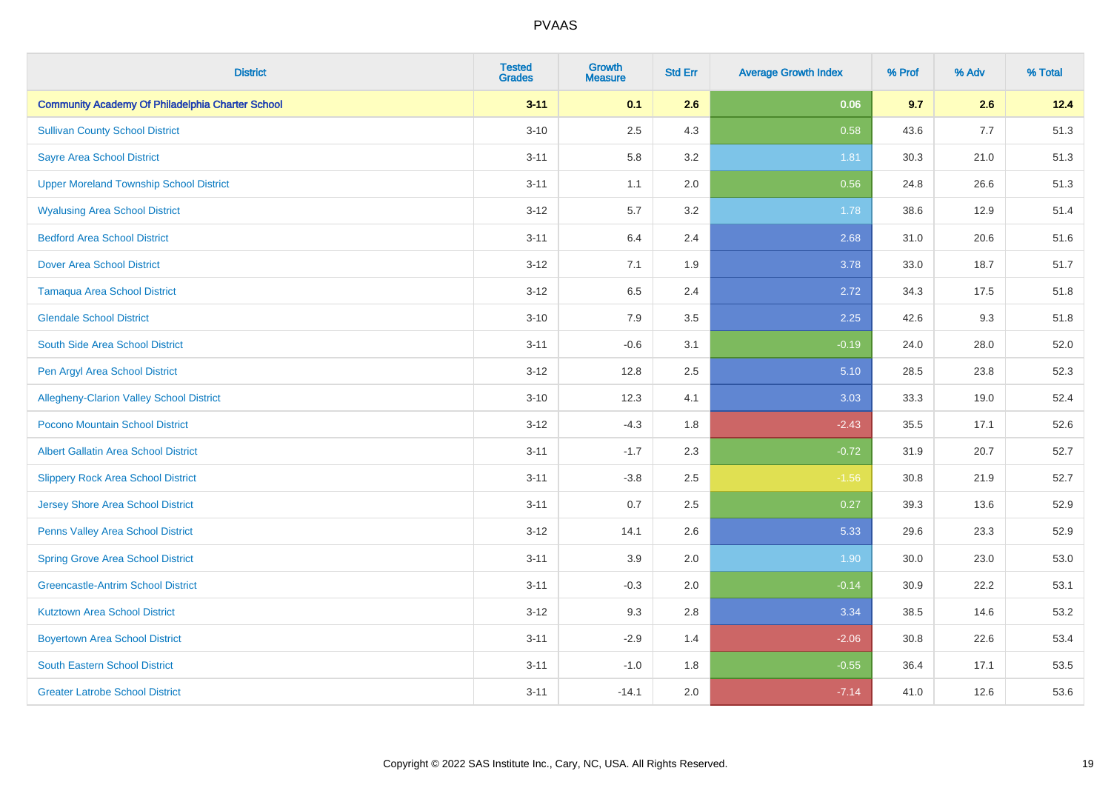| <b>District</b>                                         | <b>Tested</b><br><b>Grades</b> | Growth<br><b>Measure</b> | <b>Std Err</b> | <b>Average Growth Index</b> | % Prof | % Adv | % Total |
|---------------------------------------------------------|--------------------------------|--------------------------|----------------|-----------------------------|--------|-------|---------|
| <b>Community Academy Of Philadelphia Charter School</b> | $3 - 11$                       | 0.1                      | 2.6            | 0.06                        | 9.7    | 2.6   | 12.4    |
| <b>Sullivan County School District</b>                  | $3 - 10$                       | 2.5                      | 4.3            | 0.58                        | 43.6   | 7.7   | 51.3    |
| <b>Sayre Area School District</b>                       | $3 - 11$                       | 5.8                      | 3.2            | 1.81                        | 30.3   | 21.0  | 51.3    |
| <b>Upper Moreland Township School District</b>          | $3 - 11$                       | 1.1                      | 2.0            | 0.56                        | 24.8   | 26.6  | 51.3    |
| <b>Wyalusing Area School District</b>                   | $3 - 12$                       | 5.7                      | 3.2            | 1.78                        | 38.6   | 12.9  | 51.4    |
| <b>Bedford Area School District</b>                     | $3 - 11$                       | 6.4                      | 2.4            | 2.68                        | 31.0   | 20.6  | 51.6    |
| <b>Dover Area School District</b>                       | $3 - 12$                       | 7.1                      | 1.9            | 3.78                        | 33.0   | 18.7  | 51.7    |
| <b>Tamaqua Area School District</b>                     | $3 - 12$                       | 6.5                      | 2.4            | 2.72                        | 34.3   | 17.5  | 51.8    |
| <b>Glendale School District</b>                         | $3 - 10$                       | 7.9                      | 3.5            | 2.25                        | 42.6   | 9.3   | 51.8    |
| South Side Area School District                         | $3 - 11$                       | $-0.6$                   | 3.1            | $-0.19$                     | 24.0   | 28.0  | 52.0    |
| Pen Argyl Area School District                          | $3 - 12$                       | 12.8                     | 2.5            | 5.10                        | 28.5   | 23.8  | 52.3    |
| Allegheny-Clarion Valley School District                | $3 - 10$                       | 12.3                     | 4.1            | 3.03                        | 33.3   | 19.0  | 52.4    |
| Pocono Mountain School District                         | $3 - 12$                       | $-4.3$                   | 1.8            | $-2.43$                     | 35.5   | 17.1  | 52.6    |
| <b>Albert Gallatin Area School District</b>             | $3 - 11$                       | $-1.7$                   | 2.3            | $-0.72$                     | 31.9   | 20.7  | 52.7    |
| <b>Slippery Rock Area School District</b>               | $3 - 11$                       | $-3.8$                   | 2.5            | $-1.56$                     | 30.8   | 21.9  | 52.7    |
| <b>Jersey Shore Area School District</b>                | $3 - 11$                       | 0.7                      | 2.5            | 0.27                        | 39.3   | 13.6  | 52.9    |
| <b>Penns Valley Area School District</b>                | $3 - 12$                       | 14.1                     | 2.6            | 5.33                        | 29.6   | 23.3  | 52.9    |
| <b>Spring Grove Area School District</b>                | $3 - 11$                       | 3.9                      | 2.0            | 1.90                        | 30.0   | 23.0  | 53.0    |
| <b>Greencastle-Antrim School District</b>               | $3 - 11$                       | $-0.3$                   | 2.0            | $-0.14$                     | 30.9   | 22.2  | 53.1    |
| <b>Kutztown Area School District</b>                    | $3 - 12$                       | 9.3                      | 2.8            | 3.34                        | 38.5   | 14.6  | 53.2    |
| <b>Boyertown Area School District</b>                   | $3 - 11$                       | $-2.9$                   | 1.4            | $-2.06$                     | 30.8   | 22.6  | 53.4    |
| South Eastern School District                           | $3 - 11$                       | $-1.0$                   | 1.8            | $-0.55$                     | 36.4   | 17.1  | 53.5    |
| <b>Greater Latrobe School District</b>                  | $3 - 11$                       | $-14.1$                  | 2.0            | $-7.14$                     | 41.0   | 12.6  | 53.6    |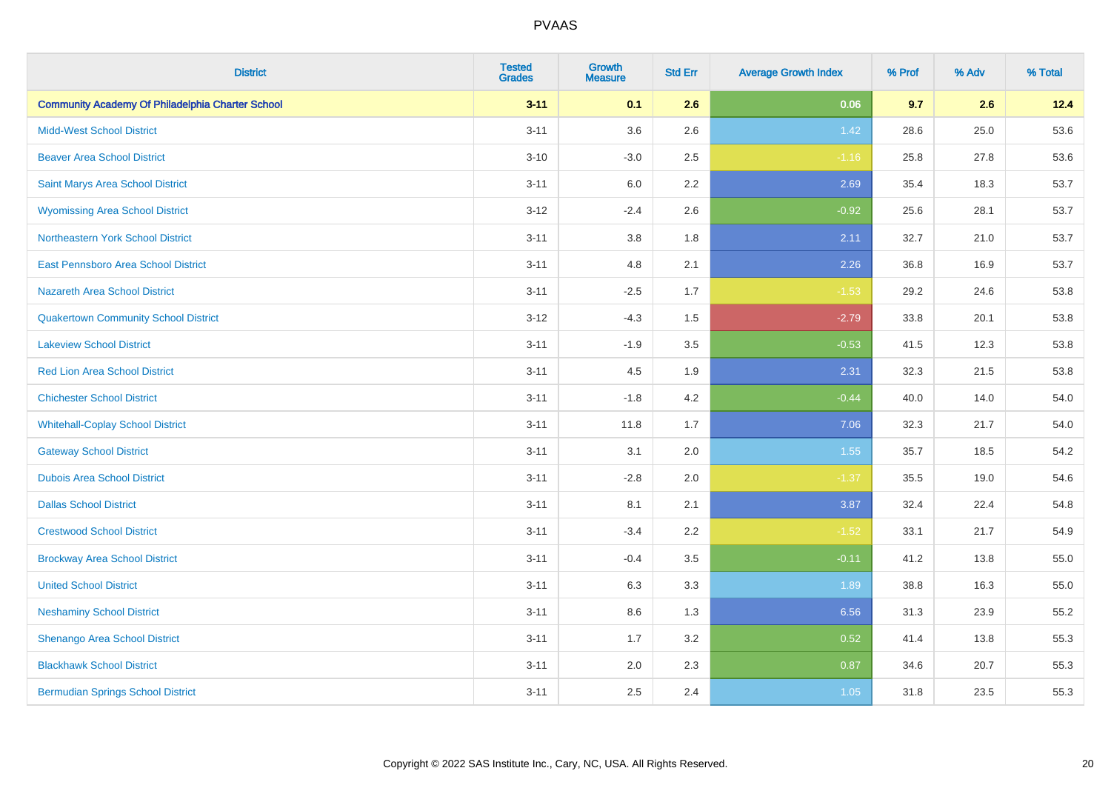| <b>District</b>                                         | <b>Tested</b><br><b>Grades</b> | <b>Growth</b><br><b>Measure</b> | <b>Std Err</b> | <b>Average Growth Index</b> | % Prof | % Adv | % Total |
|---------------------------------------------------------|--------------------------------|---------------------------------|----------------|-----------------------------|--------|-------|---------|
| <b>Community Academy Of Philadelphia Charter School</b> | $3 - 11$                       | 0.1                             | 2.6            | 0.06                        | 9.7    | 2.6   | 12.4    |
| <b>Midd-West School District</b>                        | $3 - 11$                       | 3.6                             | 2.6            | 1.42                        | 28.6   | 25.0  | 53.6    |
| <b>Beaver Area School District</b>                      | $3 - 10$                       | $-3.0$                          | 2.5            | $-1.16$                     | 25.8   | 27.8  | 53.6    |
| Saint Marys Area School District                        | $3 - 11$                       | 6.0                             | 2.2            | 2.69                        | 35.4   | 18.3  | 53.7    |
| <b>Wyomissing Area School District</b>                  | $3-12$                         | $-2.4$                          | 2.6            | $-0.92$                     | 25.6   | 28.1  | 53.7    |
| Northeastern York School District                       | $3 - 11$                       | 3.8                             | 1.8            | 2.11                        | 32.7   | 21.0  | 53.7    |
| East Pennsboro Area School District                     | $3 - 11$                       | 4.8                             | 2.1            | 2.26                        | 36.8   | 16.9  | 53.7    |
| <b>Nazareth Area School District</b>                    | $3 - 11$                       | $-2.5$                          | 1.7            | $-1.53$                     | 29.2   | 24.6  | 53.8    |
| <b>Quakertown Community School District</b>             | $3-12$                         | $-4.3$                          | 1.5            | $-2.79$                     | 33.8   | 20.1  | 53.8    |
| <b>Lakeview School District</b>                         | $3 - 11$                       | $-1.9$                          | 3.5            | $-0.53$                     | 41.5   | 12.3  | 53.8    |
| <b>Red Lion Area School District</b>                    | $3 - 11$                       | 4.5                             | 1.9            | 2.31                        | 32.3   | 21.5  | 53.8    |
| <b>Chichester School District</b>                       | $3 - 11$                       | $-1.8$                          | 4.2            | $-0.44$                     | 40.0   | 14.0  | 54.0    |
| <b>Whitehall-Coplay School District</b>                 | $3 - 11$                       | 11.8                            | 1.7            | 7.06                        | 32.3   | 21.7  | 54.0    |
| <b>Gateway School District</b>                          | $3 - 11$                       | 3.1                             | 2.0            | 1.55                        | 35.7   | 18.5  | 54.2    |
| <b>Dubois Area School District</b>                      | $3 - 11$                       | $-2.8$                          | 2.0            | $-1.37$                     | 35.5   | 19.0  | 54.6    |
| <b>Dallas School District</b>                           | $3 - 11$                       | 8.1                             | 2.1            | 3.87                        | 32.4   | 22.4  | 54.8    |
| <b>Crestwood School District</b>                        | $3 - 11$                       | $-3.4$                          | 2.2            | $-1.52$                     | 33.1   | 21.7  | 54.9    |
| <b>Brockway Area School District</b>                    | $3 - 11$                       | $-0.4$                          | 3.5            | $-0.11$                     | 41.2   | 13.8  | 55.0    |
| <b>United School District</b>                           | $3 - 11$                       | 6.3                             | 3.3            | 1.89                        | 38.8   | 16.3  | 55.0    |
| <b>Neshaminy School District</b>                        | $3 - 11$                       | 8.6                             | 1.3            | 6.56                        | 31.3   | 23.9  | 55.2    |
| Shenango Area School District                           | $3 - 11$                       | 1.7                             | 3.2            | 0.52                        | 41.4   | 13.8  | 55.3    |
| <b>Blackhawk School District</b>                        | $3 - 11$                       | 2.0                             | 2.3            | 0.87                        | 34.6   | 20.7  | 55.3    |
| <b>Bermudian Springs School District</b>                | $3 - 11$                       | 2.5                             | 2.4            | 1.05                        | 31.8   | 23.5  | 55.3    |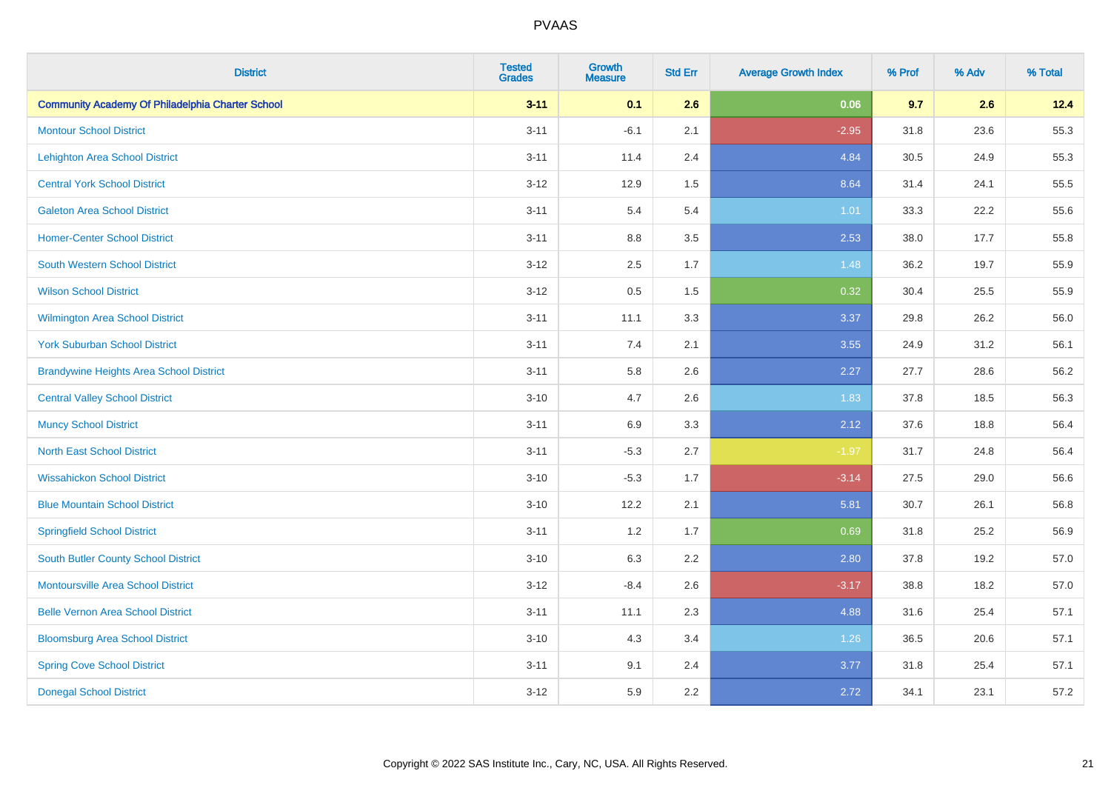| <b>District</b>                                         | <b>Tested</b><br><b>Grades</b> | <b>Growth</b><br><b>Measure</b> | <b>Std Err</b> | <b>Average Growth Index</b> | % Prof | % Adv | % Total |
|---------------------------------------------------------|--------------------------------|---------------------------------|----------------|-----------------------------|--------|-------|---------|
| <b>Community Academy Of Philadelphia Charter School</b> | $3 - 11$                       | 0.1                             | 2.6            | 0.06                        | 9.7    | 2.6   | 12.4    |
| <b>Montour School District</b>                          | $3 - 11$                       | $-6.1$                          | 2.1            | $-2.95$                     | 31.8   | 23.6  | 55.3    |
| <b>Lehighton Area School District</b>                   | $3 - 11$                       | 11.4                            | 2.4            | 4.84                        | 30.5   | 24.9  | 55.3    |
| <b>Central York School District</b>                     | $3 - 12$                       | 12.9                            | 1.5            | 8.64                        | 31.4   | 24.1  | 55.5    |
| <b>Galeton Area School District</b>                     | $3 - 11$                       | 5.4                             | 5.4            | 1.01                        | 33.3   | 22.2  | 55.6    |
| <b>Homer-Center School District</b>                     | $3 - 11$                       | 8.8                             | 3.5            | 2.53                        | 38.0   | 17.7  | 55.8    |
| <b>South Western School District</b>                    | $3 - 12$                       | 2.5                             | 1.7            | 1.48                        | 36.2   | 19.7  | 55.9    |
| <b>Wilson School District</b>                           | $3 - 12$                       | 0.5                             | 1.5            | 0.32                        | 30.4   | 25.5  | 55.9    |
| Wilmington Area School District                         | $3 - 11$                       | 11.1                            | 3.3            | 3.37                        | 29.8   | 26.2  | 56.0    |
| <b>York Suburban School District</b>                    | $3 - 11$                       | 7.4                             | 2.1            | 3.55                        | 24.9   | 31.2  | 56.1    |
| <b>Brandywine Heights Area School District</b>          | $3 - 11$                       | 5.8                             | 2.6            | 2.27                        | 27.7   | 28.6  | 56.2    |
| <b>Central Valley School District</b>                   | $3 - 10$                       | 4.7                             | 2.6            | 1.83                        | 37.8   | 18.5  | 56.3    |
| <b>Muncy School District</b>                            | $3 - 11$                       | 6.9                             | 3.3            | 2.12                        | 37.6   | 18.8  | 56.4    |
| <b>North East School District</b>                       | $3 - 11$                       | $-5.3$                          | 2.7            | $-1.97$                     | 31.7   | 24.8  | 56.4    |
| <b>Wissahickon School District</b>                      | $3 - 10$                       | $-5.3$                          | 1.7            | $-3.14$                     | 27.5   | 29.0  | 56.6    |
| <b>Blue Mountain School District</b>                    | $3 - 10$                       | 12.2                            | 2.1            | 5.81                        | 30.7   | 26.1  | 56.8    |
| <b>Springfield School District</b>                      | $3 - 11$                       | 1.2                             | 1.7            | 0.69                        | 31.8   | 25.2  | 56.9    |
| <b>South Butler County School District</b>              | $3 - 10$                       | 6.3                             | 2.2            | 2.80                        | 37.8   | 19.2  | 57.0    |
| Montoursville Area School District                      | $3 - 12$                       | $-8.4$                          | 2.6            | $-3.17$                     | 38.8   | 18.2  | 57.0    |
| <b>Belle Vernon Area School District</b>                | $3 - 11$                       | 11.1                            | 2.3            | 4.88                        | 31.6   | 25.4  | 57.1    |
| <b>Bloomsburg Area School District</b>                  | $3 - 10$                       | 4.3                             | 3.4            | 1.26                        | 36.5   | 20.6  | 57.1    |
| <b>Spring Cove School District</b>                      | $3 - 11$                       | 9.1                             | 2.4            | 3.77                        | 31.8   | 25.4  | 57.1    |
| <b>Donegal School District</b>                          | $3 - 12$                       | 5.9                             | 2.2            | 2.72                        | 34.1   | 23.1  | 57.2    |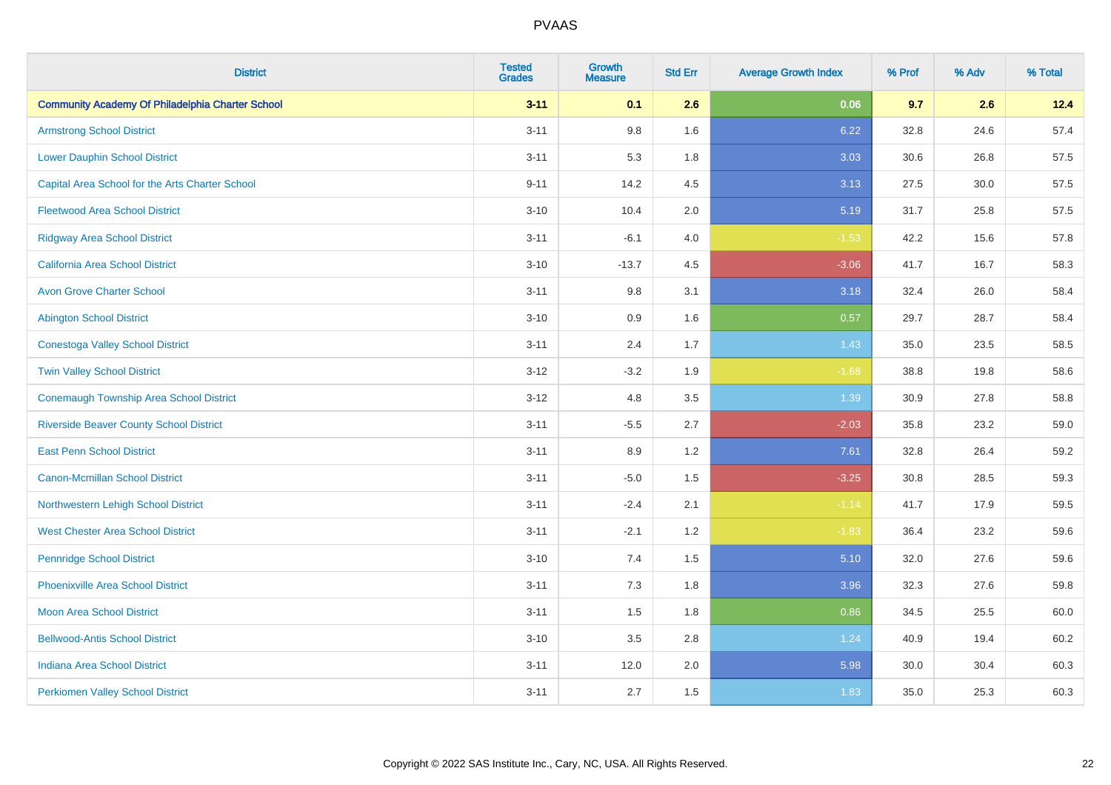| <b>District</b>                                         | <b>Tested</b><br><b>Grades</b> | <b>Growth</b><br><b>Measure</b> | <b>Std Err</b> | <b>Average Growth Index</b> | % Prof | % Adv | % Total |
|---------------------------------------------------------|--------------------------------|---------------------------------|----------------|-----------------------------|--------|-------|---------|
| <b>Community Academy Of Philadelphia Charter School</b> | $3 - 11$                       | 0.1                             | 2.6            | 0.06                        | 9.7    | 2.6   | 12.4    |
| <b>Armstrong School District</b>                        | $3 - 11$                       | $9.8\,$                         | 1.6            | 6.22                        | 32.8   | 24.6  | 57.4    |
| <b>Lower Dauphin School District</b>                    | $3 - 11$                       | 5.3                             | 1.8            | 3.03                        | 30.6   | 26.8  | 57.5    |
| Capital Area School for the Arts Charter School         | $9 - 11$                       | 14.2                            | 4.5            | 3.13                        | 27.5   | 30.0  | 57.5    |
| <b>Fleetwood Area School District</b>                   | $3 - 10$                       | 10.4                            | 2.0            | 5.19                        | 31.7   | 25.8  | 57.5    |
| <b>Ridgway Area School District</b>                     | $3 - 11$                       | $-6.1$                          | 4.0            | $-1.53$                     | 42.2   | 15.6  | 57.8    |
| <b>California Area School District</b>                  | $3 - 10$                       | $-13.7$                         | 4.5            | $-3.06$                     | 41.7   | 16.7  | 58.3    |
| <b>Avon Grove Charter School</b>                        | $3 - 11$                       | $9.8\,$                         | 3.1            | 3.18                        | 32.4   | 26.0  | 58.4    |
| <b>Abington School District</b>                         | $3 - 10$                       | 0.9                             | 1.6            | 0.57                        | 29.7   | 28.7  | 58.4    |
| <b>Conestoga Valley School District</b>                 | $3 - 11$                       | 2.4                             | 1.7            | 1.43                        | 35.0   | 23.5  | 58.5    |
| <b>Twin Valley School District</b>                      | $3 - 12$                       | $-3.2$                          | 1.9            | $-1.68$                     | 38.8   | 19.8  | 58.6    |
| <b>Conemaugh Township Area School District</b>          | $3-12$                         | 4.8                             | 3.5            | 1.39                        | 30.9   | 27.8  | 58.8    |
| <b>Riverside Beaver County School District</b>          | $3 - 11$                       | $-5.5$                          | 2.7            | $-2.03$                     | 35.8   | 23.2  | 59.0    |
| <b>East Penn School District</b>                        | $3 - 11$                       | 8.9                             | 1.2            | 7.61                        | 32.8   | 26.4  | 59.2    |
| <b>Canon-Mcmillan School District</b>                   | $3 - 11$                       | $-5.0$                          | 1.5            | $-3.25$                     | 30.8   | 28.5  | 59.3    |
| Northwestern Lehigh School District                     | $3 - 11$                       | $-2.4$                          | 2.1            | $-1.14$                     | 41.7   | 17.9  | 59.5    |
| <b>West Chester Area School District</b>                | $3 - 11$                       | $-2.1$                          | 1.2            | $-1.83$                     | 36.4   | 23.2  | 59.6    |
| <b>Pennridge School District</b>                        | $3 - 10$                       | 7.4                             | 1.5            | 5.10                        | 32.0   | 27.6  | 59.6    |
| <b>Phoenixville Area School District</b>                | $3 - 11$                       | $7.3$                           | 1.8            | 3.96                        | 32.3   | 27.6  | 59.8    |
| <b>Moon Area School District</b>                        | $3 - 11$                       | 1.5                             | 1.8            | 0.86                        | 34.5   | 25.5  | 60.0    |
| <b>Bellwood-Antis School District</b>                   | $3 - 10$                       | 3.5                             | 2.8            | 1.24                        | 40.9   | 19.4  | 60.2    |
| <b>Indiana Area School District</b>                     | $3 - 11$                       | 12.0                            | 2.0            | 5.98                        | 30.0   | 30.4  | 60.3    |
| <b>Perkiomen Valley School District</b>                 | $3 - 11$                       | 2.7                             | 1.5            | 1.83                        | 35.0   | 25.3  | 60.3    |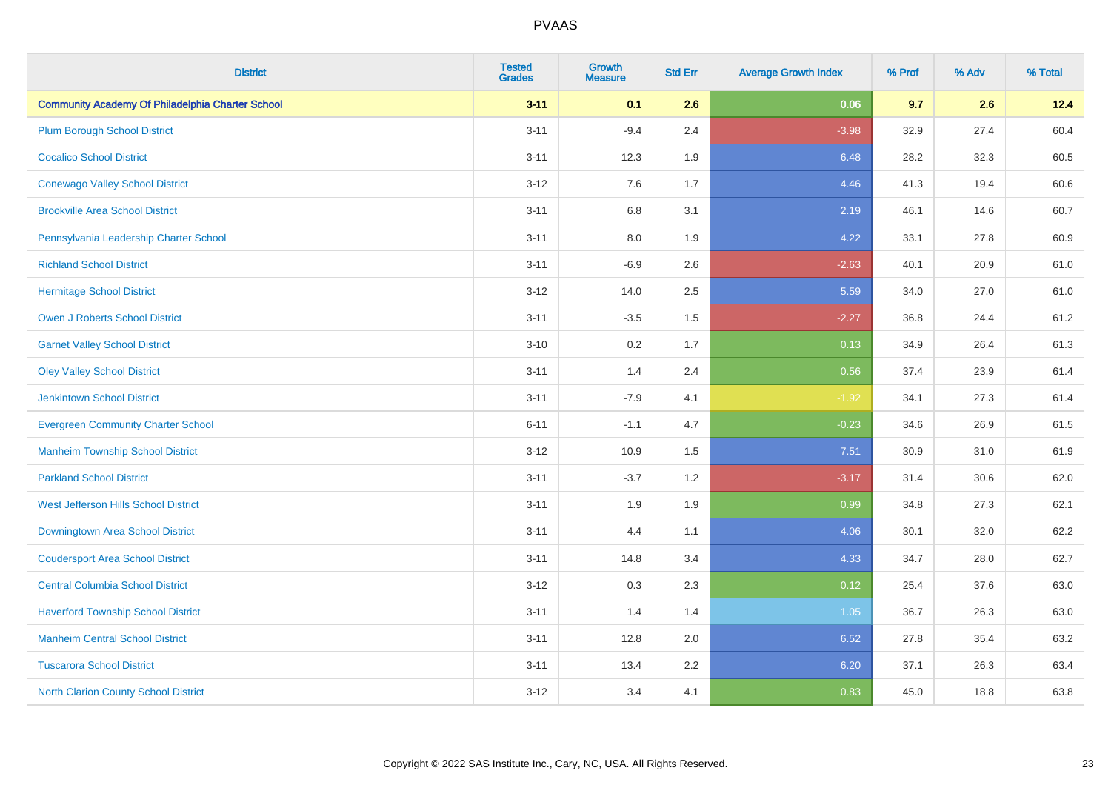| <b>District</b>                                         | <b>Tested</b><br><b>Grades</b> | <b>Growth</b><br><b>Measure</b> | <b>Std Err</b> | <b>Average Growth Index</b> | % Prof | % Adv | % Total |
|---------------------------------------------------------|--------------------------------|---------------------------------|----------------|-----------------------------|--------|-------|---------|
| <b>Community Academy Of Philadelphia Charter School</b> | $3 - 11$                       | 0.1                             | 2.6            | 0.06                        | 9.7    | 2.6   | 12.4    |
| <b>Plum Borough School District</b>                     | $3 - 11$                       | $-9.4$                          | 2.4            | $-3.98$                     | 32.9   | 27.4  | 60.4    |
| <b>Cocalico School District</b>                         | $3 - 11$                       | 12.3                            | 1.9            | 6.48                        | 28.2   | 32.3  | 60.5    |
| <b>Conewago Valley School District</b>                  | $3 - 12$                       | 7.6                             | 1.7            | 4.46                        | 41.3   | 19.4  | 60.6    |
| <b>Brookville Area School District</b>                  | $3 - 11$                       | 6.8                             | 3.1            | 2.19                        | 46.1   | 14.6  | 60.7    |
| Pennsylvania Leadership Charter School                  | $3 - 11$                       | 8.0                             | 1.9            | 4.22                        | 33.1   | 27.8  | 60.9    |
| <b>Richland School District</b>                         | $3 - 11$                       | $-6.9$                          | 2.6            | $-2.63$                     | 40.1   | 20.9  | 61.0    |
| <b>Hermitage School District</b>                        | $3 - 12$                       | 14.0                            | 2.5            | 5.59                        | 34.0   | 27.0  | 61.0    |
| <b>Owen J Roberts School District</b>                   | $3 - 11$                       | $-3.5$                          | 1.5            | $-2.27$                     | 36.8   | 24.4  | 61.2    |
| <b>Garnet Valley School District</b>                    | $3 - 10$                       | 0.2                             | 1.7            | 0.13                        | 34.9   | 26.4  | 61.3    |
| <b>Oley Valley School District</b>                      | $3 - 11$                       | 1.4                             | 2.4            | 0.56                        | 37.4   | 23.9  | 61.4    |
| <b>Jenkintown School District</b>                       | $3 - 11$                       | $-7.9$                          | 4.1            | $-1.92$                     | 34.1   | 27.3  | 61.4    |
| <b>Evergreen Community Charter School</b>               | $6 - 11$                       | $-1.1$                          | 4.7            | $-0.23$                     | 34.6   | 26.9  | 61.5    |
| <b>Manheim Township School District</b>                 | $3 - 12$                       | 10.9                            | 1.5            | 7.51                        | 30.9   | 31.0  | 61.9    |
| <b>Parkland School District</b>                         | $3 - 11$                       | $-3.7$                          | 1.2            | $-3.17$                     | 31.4   | 30.6  | 62.0    |
| West Jefferson Hills School District                    | $3 - 11$                       | 1.9                             | 1.9            | 0.99                        | 34.8   | 27.3  | 62.1    |
| Downingtown Area School District                        | $3 - 11$                       | 4.4                             | 1.1            | 4.06                        | 30.1   | 32.0  | 62.2    |
| <b>Coudersport Area School District</b>                 | $3 - 11$                       | 14.8                            | 3.4            | 4.33                        | 34.7   | 28.0  | 62.7    |
| <b>Central Columbia School District</b>                 | $3 - 12$                       | 0.3                             | 2.3            | 0.12                        | 25.4   | 37.6  | 63.0    |
| <b>Haverford Township School District</b>               | $3 - 11$                       | 1.4                             | 1.4            | 1.05                        | 36.7   | 26.3  | 63.0    |
| <b>Manheim Central School District</b>                  | $3 - 11$                       | 12.8                            | 2.0            | 6.52                        | 27.8   | 35.4  | 63.2    |
| <b>Tuscarora School District</b>                        | $3 - 11$                       | 13.4                            | 2.2            | 6.20                        | 37.1   | 26.3  | 63.4    |
| North Clarion County School District                    | $3 - 12$                       | 3.4                             | 4.1            | 0.83                        | 45.0   | 18.8  | 63.8    |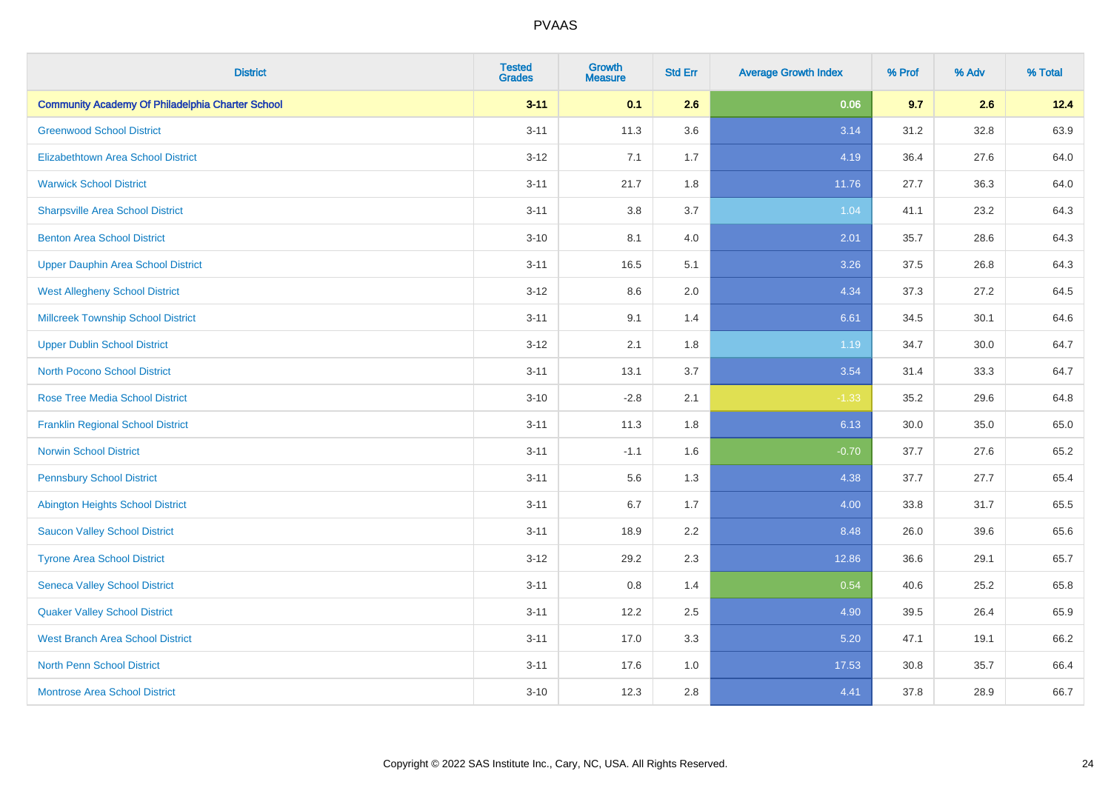| <b>District</b>                                         | <b>Tested</b><br><b>Grades</b> | <b>Growth</b><br><b>Measure</b> | <b>Std Err</b> | <b>Average Growth Index</b> | % Prof | % Adv | % Total |
|---------------------------------------------------------|--------------------------------|---------------------------------|----------------|-----------------------------|--------|-------|---------|
| <b>Community Academy Of Philadelphia Charter School</b> | $3 - 11$                       | 0.1                             | 2.6            | 0.06                        | 9.7    | 2.6   | 12.4    |
| <b>Greenwood School District</b>                        | $3 - 11$                       | 11.3                            | 3.6            | 3.14                        | 31.2   | 32.8  | 63.9    |
| <b>Elizabethtown Area School District</b>               | $3 - 12$                       | 7.1                             | 1.7            | 4.19                        | 36.4   | 27.6  | 64.0    |
| <b>Warwick School District</b>                          | $3 - 11$                       | 21.7                            | 1.8            | 11.76                       | 27.7   | 36.3  | 64.0    |
| <b>Sharpsville Area School District</b>                 | $3 - 11$                       | 3.8                             | 3.7            | 1.04                        | 41.1   | 23.2  | 64.3    |
| <b>Benton Area School District</b>                      | $3 - 10$                       | 8.1                             | 4.0            | 2.01                        | 35.7   | 28.6  | 64.3    |
| <b>Upper Dauphin Area School District</b>               | $3 - 11$                       | 16.5                            | 5.1            | 3.26                        | 37.5   | 26.8  | 64.3    |
| <b>West Allegheny School District</b>                   | $3 - 12$                       | $8.6\,$                         | 2.0            | 4.34                        | 37.3   | 27.2  | 64.5    |
| <b>Millcreek Township School District</b>               | $3 - 11$                       | 9.1                             | 1.4            | 6.61                        | 34.5   | 30.1  | 64.6    |
| <b>Upper Dublin School District</b>                     | $3 - 12$                       | 2.1                             | 1.8            | 1.19                        | 34.7   | 30.0  | 64.7    |
| <b>North Pocono School District</b>                     | $3 - 11$                       | 13.1                            | 3.7            | 3.54                        | 31.4   | 33.3  | 64.7    |
| <b>Rose Tree Media School District</b>                  | $3 - 10$                       | $-2.8$                          | 2.1            | $-1.33$                     | 35.2   | 29.6  | 64.8    |
| <b>Franklin Regional School District</b>                | $3 - 11$                       | 11.3                            | 1.8            | 6.13                        | 30.0   | 35.0  | 65.0    |
| <b>Norwin School District</b>                           | $3 - 11$                       | $-1.1$                          | 1.6            | $-0.70$                     | 37.7   | 27.6  | 65.2    |
| <b>Pennsbury School District</b>                        | $3 - 11$                       | 5.6                             | 1.3            | 4.38                        | 37.7   | 27.7  | 65.4    |
| <b>Abington Heights School District</b>                 | $3 - 11$                       | 6.7                             | 1.7            | 4.00                        | 33.8   | 31.7  | 65.5    |
| <b>Saucon Valley School District</b>                    | $3 - 11$                       | 18.9                            | 2.2            | 8.48                        | 26.0   | 39.6  | 65.6    |
| <b>Tyrone Area School District</b>                      | $3 - 12$                       | 29.2                            | 2.3            | 12.86                       | 36.6   | 29.1  | 65.7    |
| <b>Seneca Valley School District</b>                    | $3 - 11$                       | $0.8\,$                         | 1.4            | 0.54                        | 40.6   | 25.2  | 65.8    |
| <b>Quaker Valley School District</b>                    | $3 - 11$                       | 12.2                            | 2.5            | 4.90                        | 39.5   | 26.4  | 65.9    |
| <b>West Branch Area School District</b>                 | $3 - 11$                       | 17.0                            | 3.3            | 5.20                        | 47.1   | 19.1  | 66.2    |
| <b>North Penn School District</b>                       | $3 - 11$                       | 17.6                            | 1.0            | 17.53                       | 30.8   | 35.7  | 66.4    |
| <b>Montrose Area School District</b>                    | $3 - 10$                       | 12.3                            | 2.8            | 4.41                        | 37.8   | 28.9  | 66.7    |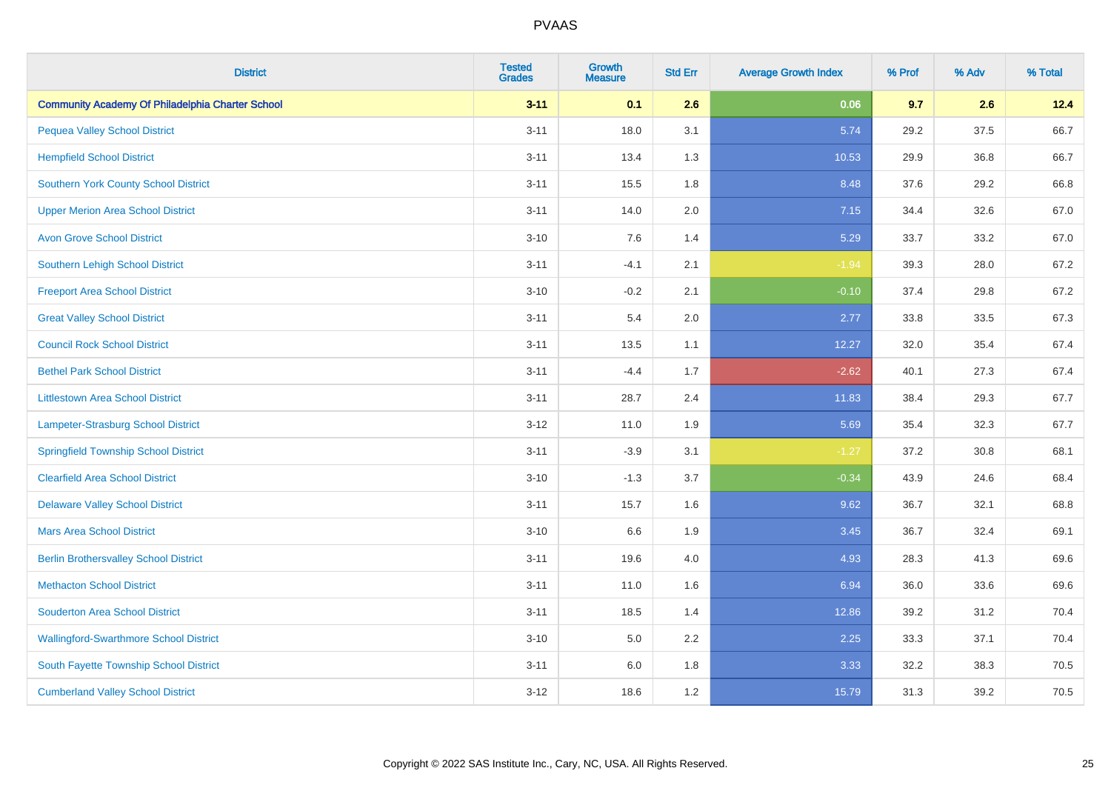| <b>District</b>                                         | <b>Tested</b><br><b>Grades</b> | <b>Growth</b><br><b>Measure</b> | <b>Std Err</b> | <b>Average Growth Index</b> | % Prof | % Adv | % Total |
|---------------------------------------------------------|--------------------------------|---------------------------------|----------------|-----------------------------|--------|-------|---------|
| <b>Community Academy Of Philadelphia Charter School</b> | $3 - 11$                       | 0.1                             | 2.6            | 0.06                        | 9.7    | 2.6   | 12.4    |
| <b>Pequea Valley School District</b>                    | $3 - 11$                       | 18.0                            | 3.1            | 5.74                        | 29.2   | 37.5  | 66.7    |
| <b>Hempfield School District</b>                        | $3 - 11$                       | 13.4                            | 1.3            | 10.53                       | 29.9   | 36.8  | 66.7    |
| <b>Southern York County School District</b>             | $3 - 11$                       | 15.5                            | 1.8            | 8.48                        | 37.6   | 29.2  | 66.8    |
| <b>Upper Merion Area School District</b>                | $3 - 11$                       | 14.0                            | 2.0            | 7.15                        | 34.4   | 32.6  | 67.0    |
| <b>Avon Grove School District</b>                       | $3 - 10$                       | 7.6                             | 1.4            | 5.29                        | 33.7   | 33.2  | 67.0    |
| Southern Lehigh School District                         | $3 - 11$                       | $-4.1$                          | 2.1            | $-1.94$                     | 39.3   | 28.0  | 67.2    |
| <b>Freeport Area School District</b>                    | $3 - 10$                       | $-0.2$                          | 2.1            | $-0.10$                     | 37.4   | 29.8  | 67.2    |
| <b>Great Valley School District</b>                     | $3 - 11$                       | 5.4                             | 2.0            | 2.77                        | 33.8   | 33.5  | 67.3    |
| <b>Council Rock School District</b>                     | $3 - 11$                       | 13.5                            | 1.1            | 12.27                       | 32.0   | 35.4  | 67.4    |
| <b>Bethel Park School District</b>                      | $3 - 11$                       | $-4.4$                          | 1.7            | $-2.62$                     | 40.1   | 27.3  | 67.4    |
| <b>Littlestown Area School District</b>                 | $3 - 11$                       | 28.7                            | 2.4            | 11.83                       | 38.4   | 29.3  | 67.7    |
| Lampeter-Strasburg School District                      | $3 - 12$                       | 11.0                            | 1.9            | 5.69                        | 35.4   | 32.3  | 67.7    |
| <b>Springfield Township School District</b>             | $3 - 11$                       | $-3.9$                          | 3.1            | $-1.27$                     | 37.2   | 30.8  | 68.1    |
| <b>Clearfield Area School District</b>                  | $3 - 10$                       | $-1.3$                          | 3.7            | $-0.34$                     | 43.9   | 24.6  | 68.4    |
| <b>Delaware Valley School District</b>                  | $3 - 11$                       | 15.7                            | 1.6            | 9.62                        | 36.7   | 32.1  | 68.8    |
| <b>Mars Area School District</b>                        | $3 - 10$                       | 6.6                             | 1.9            | 3.45                        | 36.7   | 32.4  | 69.1    |
| <b>Berlin Brothersvalley School District</b>            | $3 - 11$                       | 19.6                            | 4.0            | 4.93                        | 28.3   | 41.3  | 69.6    |
| <b>Methacton School District</b>                        | $3 - 11$                       | 11.0                            | 1.6            | 6.94                        | 36.0   | 33.6  | 69.6    |
| <b>Souderton Area School District</b>                   | $3 - 11$                       | 18.5                            | 1.4            | 12.86                       | 39.2   | 31.2  | 70.4    |
| <b>Wallingford-Swarthmore School District</b>           | $3 - 10$                       | 5.0                             | 2.2            | 2.25                        | 33.3   | 37.1  | 70.4    |
| South Fayette Township School District                  | $3 - 11$                       | 6.0                             | 1.8            | 3.33                        | 32.2   | 38.3  | 70.5    |
| <b>Cumberland Valley School District</b>                | $3 - 12$                       | 18.6                            | 1.2            | 15.79                       | 31.3   | 39.2  | 70.5    |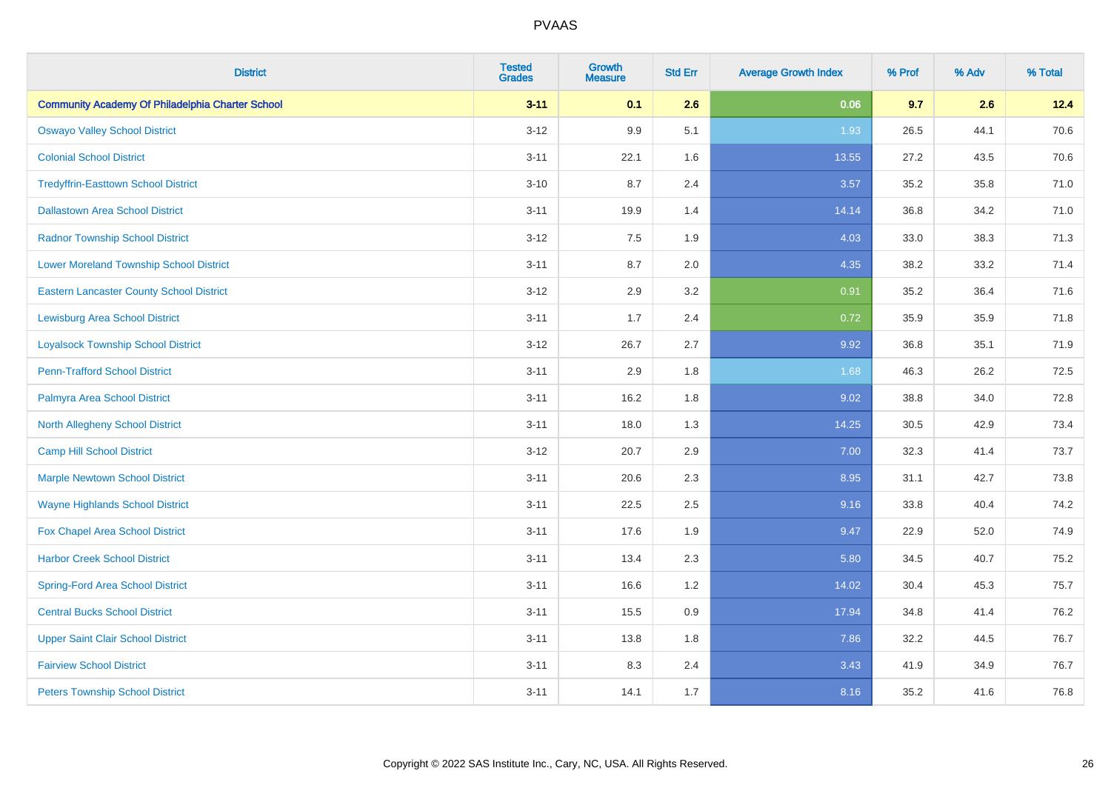| <b>District</b>                                         | <b>Tested</b><br><b>Grades</b> | <b>Growth</b><br><b>Measure</b> | <b>Std Err</b> | <b>Average Growth Index</b> | % Prof | % Adv | % Total |
|---------------------------------------------------------|--------------------------------|---------------------------------|----------------|-----------------------------|--------|-------|---------|
| <b>Community Academy Of Philadelphia Charter School</b> | $3 - 11$                       | 0.1                             | 2.6            | 0.06                        | 9.7    | 2.6   | 12.4    |
| <b>Oswayo Valley School District</b>                    | $3 - 12$                       | 9.9                             | 5.1            | 1.93                        | 26.5   | 44.1  | 70.6    |
| <b>Colonial School District</b>                         | $3 - 11$                       | 22.1                            | 1.6            | 13.55                       | 27.2   | 43.5  | 70.6    |
| <b>Tredyffrin-Easttown School District</b>              | $3 - 10$                       | 8.7                             | 2.4            | 3.57                        | 35.2   | 35.8  | 71.0    |
| <b>Dallastown Area School District</b>                  | $3 - 11$                       | 19.9                            | 1.4            | 14.14                       | 36.8   | 34.2  | 71.0    |
| <b>Radnor Township School District</b>                  | $3 - 12$                       | 7.5                             | 1.9            | 4.03                        | 33.0   | 38.3  | 71.3    |
| <b>Lower Moreland Township School District</b>          | $3 - 11$                       | 8.7                             | 2.0            | 4.35                        | 38.2   | 33.2  | 71.4    |
| <b>Eastern Lancaster County School District</b>         | $3 - 12$                       | 2.9                             | 3.2            | 0.91                        | 35.2   | 36.4  | 71.6    |
| <b>Lewisburg Area School District</b>                   | $3 - 11$                       | 1.7                             | 2.4            | 0.72                        | 35.9   | 35.9  | 71.8    |
| <b>Loyalsock Township School District</b>               | $3-12$                         | 26.7                            | 2.7            | 9.92                        | 36.8   | 35.1  | 71.9    |
| <b>Penn-Trafford School District</b>                    | $3 - 11$                       | 2.9                             | 1.8            | 1.68                        | 46.3   | 26.2  | 72.5    |
| Palmyra Area School District                            | $3 - 11$                       | 16.2                            | 1.8            | 9.02                        | 38.8   | 34.0  | 72.8    |
| North Allegheny School District                         | $3 - 11$                       | 18.0                            | 1.3            | 14.25                       | 30.5   | 42.9  | 73.4    |
| <b>Camp Hill School District</b>                        | $3 - 12$                       | 20.7                            | 2.9            | 7.00                        | 32.3   | 41.4  | 73.7    |
| <b>Marple Newtown School District</b>                   | $3 - 11$                       | 20.6                            | 2.3            | 8.95                        | 31.1   | 42.7  | 73.8    |
| <b>Wayne Highlands School District</b>                  | $3 - 11$                       | 22.5                            | 2.5            | 9.16                        | 33.8   | 40.4  | 74.2    |
| Fox Chapel Area School District                         | $3 - 11$                       | 17.6                            | 1.9            | 9.47                        | 22.9   | 52.0  | 74.9    |
| <b>Harbor Creek School District</b>                     | $3 - 11$                       | 13.4                            | 2.3            | 5.80                        | 34.5   | 40.7  | 75.2    |
| <b>Spring-Ford Area School District</b>                 | $3 - 11$                       | 16.6                            | 1.2            | 14.02                       | 30.4   | 45.3  | 75.7    |
| <b>Central Bucks School District</b>                    | $3 - 11$                       | 15.5                            | 0.9            | 17.94                       | 34.8   | 41.4  | 76.2    |
| <b>Upper Saint Clair School District</b>                | $3 - 11$                       | 13.8                            | 1.8            | 7.86                        | 32.2   | 44.5  | 76.7    |
| <b>Fairview School District</b>                         | $3 - 11$                       | 8.3                             | 2.4            | 3.43                        | 41.9   | 34.9  | 76.7    |
| <b>Peters Township School District</b>                  | $3 - 11$                       | 14.1                            | 1.7            | 8.16                        | 35.2   | 41.6  | 76.8    |